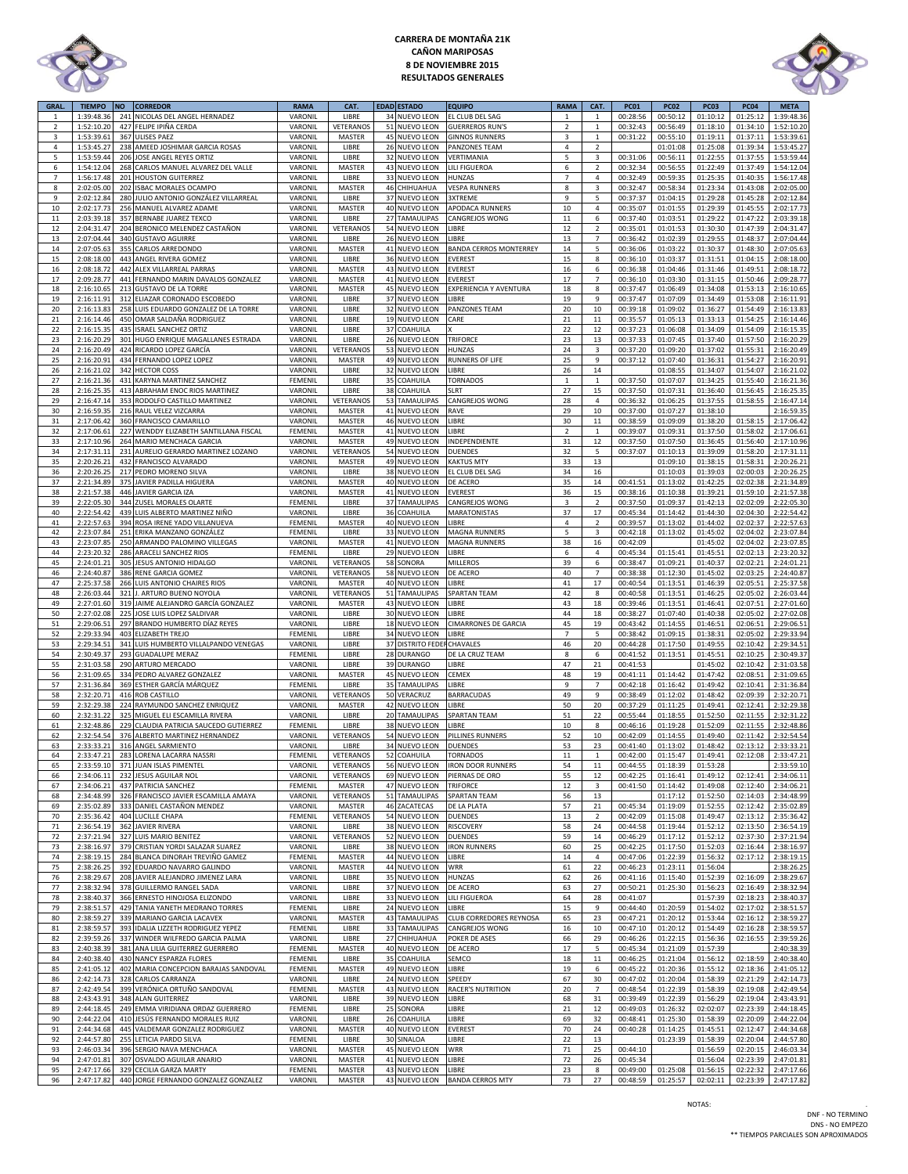

# **CARRERA DE MONTAÑA 21K CAÑON MARIPOSAS 8 DE NOVIEMBRE 2015 RESULTADOS GENERALES**



| GRAL.          | <b>TIEMPO</b>            | <b>NO</b>  | <b>CORREDOR</b>                                                  | <b>RAMA</b>        | CAT.                |    | <b>EDAD ESTADO</b>                 | <b>EQUIPO</b>                    | <b>RAMA</b>      | CAT.                    | <b>PC01</b>          | <b>PC02</b>          | <b>PC03</b>          | <b>PC04</b>          | <b>META</b>              |
|----------------|--------------------------|------------|------------------------------------------------------------------|--------------------|---------------------|----|------------------------------------|----------------------------------|------------------|-------------------------|----------------------|----------------------|----------------------|----------------------|--------------------------|
| $\mathbf{1}$   | 1:39:48.36               | 241        | NICOLAS DEL ANGEL HERNADEZ                                       | VARONIL            | LIBRE               |    | 34 NUEVO LEON                      | EL CLUB DEL SAG                  | $\mathbf{1}$     | $\mathbf 1$             | 00:28:56             | 00:50:12             | 01:10:12             | 01:25:12             | 1:39:48.36               |
| $\overline{2}$ | 1:52:10.20               | 427        | FELIPE IPIÑA CERDA                                               | VARONIL            | VETERANOS           |    | 51 NUEVO LEON                      | <b>GUERREROS RUN'S</b>           | $\overline{2}$   | $\mathbf{1}$            | 00:32:43             | 00:56:49             | 01:18:10             | 01:34:10             | 1:52:10.20               |
| 3              | 1:53:39.61               | 367        | <b>ULISES PAEZ</b>                                               | VARONIL            | MASTER              |    | 45 NUEVO LEON                      | <b>GINNOS RUNNERS</b>            | $\overline{3}$   | $\mathbf{1}$            | 00:31:22             | 00:55:10             | 01:19:11             | 01:37:11             | 1:53:39.63               |
| 4              | 1:53:45.27               | 238        | AMEED JOSHIMAR GARCIA ROSAS                                      | VARONIL            | LIBRE               |    | 26 NUEVO LEON                      | PANZONES TEAM                    | $\overline{4}$   | $\overline{2}$          |                      | 01:01:08             | 01:25:08             | 01:39:34             | 1:53:45.27               |
| 5              | 1:53:59.44               | 206        | JOSE ANGEL REYES ORTIZ                                           | VARONIL            | LIBRE               |    | 32 NUEVO LEON                      | VERTIMANIA                       | 5                | 3                       | 00:31:06             | 00:56:11             | 01:22:55             | 01:37:55             | 1:53:59.44               |
| 6              | 1:54:12.04               | 268        | CARLOS MANUEL ALVAREZ DEL VALLE                                  | VARONIL            | MASTER              |    | 43 NUEVO LEON                      | <b>ILI FIGUEROA</b>              | 6                | $\overline{2}$          | 00:32:34             | 00:56:55             | 01:22:49             | 01:37:49             | 1:54:12.04               |
| $\overline{7}$ | 1:56:17.48               | 201        | <b>HOUSTON GUITERREZ</b>                                         | VARONIL            | LIBRE               |    | 33 NUEVO LEON                      | HUNZAS                           | $\overline{7}$   | $\overline{4}$          | 00:32:49             | 00:59:35             | 01:25:35             | 01:40:35             | 1:56:17.48               |
| 8              | 2:02:05.00               | 202        | <b>ISBAC MORALES OCAMPO</b>                                      | VARONIL            | MASTER              |    | 46 CHIHUAHUA                       | <b>VESPA RUNNERS</b>             | 8                | 3                       | 00:32:47             | 00:58:34             | 01:23:34             | 01:43:08             | 2:02:05.00               |
| 9              | 2:02:12.84               | 280        | JULIO ANTONIO GONZÁLEZ VILLARREAL                                | VARONIL            | LIBRE               |    | 37 NUEVO LEON                      | 3XTREME                          | 9                | 5                       | 00:37:37             | 01:04:15             | 01:29:28             | 01:45:28             | 2:02:12.84               |
| $10\,$         | 2:02:17.73               | 256        | MANUEL ALVAREZ ADAME                                             | VARONIL            | MASTER              |    | 40 NUEVO LEON                      | APODACA RUNNERS                  | $10\,$           | $\overline{4}$          | 00:35:07             | 01:01:55             | 01:29:39             | 01:45:55             | 2:02:17.73               |
| $11\,$         | 2:03:39.18               | 357        | <b>BERNABE JUAREZ TEXCO</b>                                      | VARONIL            | LIBRE               |    | 27 TAMAULIPAS                      | CANGREJOS WONG                   | 11               | 6                       | 00:37:40             | 01:03:51             | 01:29:22             | 01:47:22             | 2:03:39.18               |
| 12             | 2:04:31.47               | 204        | BERONICO MELENDEZ CASTAÑON                                       | VARONIL            | <b>VETERANOS</b>    |    | 54 NUEVO LEON                      | LIBRE                            | 12               | $\mathbf 2$             | 00:35:01             | 01:01:53             | 01:30:30             | 01:47:39             | 2:04:31.47               |
| 13             | 2:07:04.44               |            | 340 GUSTAVO AGUIRRE                                              | VARONIL            | LIBRE               |    | 26 NUEVO LEON                      | <b>JIBRE</b>                     | 13               | $\overline{7}$          | 00:36:42             | 01:02:39             | 01:29:55             | 01:48:37             | 2:07:04.44               |
| $14\,$         | 2:07:05.63               | 355        | CARLOS ARREDONDO<br>ANGEL RIVERA GOMEZ                           | VARONIL            | MASTER              |    | 41 NUEVO LEON                      | BANDA CERROS MONTERREY           | $14\,$           | 5                       | 00:36:06             | 01:03:22             | 01:30:37             | 01:48:30             | 2:07:05.63               |
| 15             | 2:08:18.00               | 443        |                                                                  | VARONIL            | LIBRE               |    | 36 NUEVO LEON                      | EVEREST                          | 15               | 8                       | 00:36:10             | 01:03:37             | 01:31:51             | 01:04:15             | 2:08:18.00               |
| 16             | 2:08:18.72               | 442        | ALEX VILLARREAL PARRAS                                           | VARONIL            | <b>MASTER</b>       |    | 43 NUEVO LEON                      | <b>EVEREST</b>                   | 16               | 6<br>$\overline{7}$     | 00:36:38             | 01:04:46             | 01:31:46             | 01:49:51             | 2:08:18.72               |
| 17             | 2:09:28.77               | 441        | FERNANDO MARIN DAVALOS GONZALEZ                                  | VARONIL            | MASTER              |    | 41 NUEVO LEON                      | EVEREST                          | 17<br>18         |                         | 00:36:10             | 01:03:30             | 01:31:15             | 01:50:46             | 2:09:28.77<br>2:16:10.65 |
| 18<br>19       | 2:16:10.65               | 213        | <b>GUSTAVO DE LA TORRE</b>                                       | VARONIL            | MASTER              |    | 45 NUEVO LEON                      | EXPERIENCIA Y AVENTURA<br>LIBRE  | 19               | 8                       | 00:37:47             | 01:06:49<br>01:07:09 | 01:34:08             | 01:53:13             |                          |
|                | 2:16:11.91               | 312        | ELIAZAR CORONADO ESCOBEDO                                        | VARONIL            | LIBRE               |    | 37 NUEVO LEON<br>32 NUEVO LEON     | PANZONES TEAM                    |                  | 9                       | 00:37:47             | 01:09:02             | 01:34:49<br>01:36:27 | 01:53:08<br>01:54:49 | 2:16:11.91               |
| 20<br>21       | 2:16:13.83<br>2:16:14.46 | 258        | LUIS EDUARDO GONZALEZ DE LA TORRE<br>450 OMAR SALDAÑA RODRIGUEZ  | VARONIL<br>VARONIL | LIBRE<br>LIBRE      |    | 19 NUEVO LEON                      |                                  | 20<br>${\bf 21}$ | $10\,$<br>$11\,$        | 00:39:18<br>00:35:57 | 01:05:13             | 01:33:13             | 01:54:25             | 2:16:13.83<br>2:16:14.46 |
| 22             | 2:16:15.35               | 435        | <b>ISRAEL SANCHEZ ORTIZ</b>                                      | VARONIL            | LIBRE               |    | 37 COAHUILA                        | CARE                             | 22               | 12                      | 00:37:23             | 01:06:08             | 01:34:09             | 01:54:09             | 2:16:15.35               |
| 23             | 2:16:20.29               | 301        | HUGO ENRIQUE MAGALLANES ESTRADA                                  | VARONIL            | LIBRE               |    | 26 NUEVO LEON                      | TRIFORCE                         | 23               | 13                      | 00:37:33             | 01:07:45             | 01:37:40             | 01:57:50             | 2:16:20.29               |
| 24             | 2:16:20.49               | 424        | RICARDO LOPEZ GARCÍA                                             | VARONIL            | <b>VETERANOS</b>    | 53 | <b>NUEVO LEON</b>                  | HUNZAS                           | 24               | 3                       | 00:37:20             | 01:09:20             | 01:37:02             | 01:55:31             | 2:16:20.49               |
| 25             | 2:16:20.91               |            | 434 FERNANDO LOPEZ LOPEZ                                         | VARONIL            | MASTER              |    | 49 NUEVO LEON                      | RUNNERS OF LIFE                  | 25               | 9                       | 00:37:12             | 01:07:40             | 01:36:31             | 01:54:27             | 2:16:20.91               |
| 26             | 2:16:21.02               |            | 342 HECTOR COSS                                                  | VARONIL            | LIBRE               |    | 32 NUEVO LEON                      | LIBRE                            | 26               | $14\,$                  |                      | 01:08:55             | 01:34:07             | 01:54:07             | 2:16:21.02               |
| 27             | 2:16:21.36               | 431        | <b>KARYNA MARTINEZ SANCHEZ</b>                                   | FEMENIL            | LIBRE               |    | 35 COAHUILA                        | <b>TORNADOS</b>                  | $\mathbf 1$      | $\mathbf{1}$            | 00:37:50             | 01:07:07             | 01:34:25             | 01:55:40             | 2:16:21.36               |
| 28             | 2:16:25.35               | 413        | ABRAHAM ENOC RIOS MARTINEZ                                       | VARONIL            | LIBRE               |    | 38 COAHUILA                        | <b>SLRT</b>                      | 27               | 15                      | 00:37:50             | 01:07:31             | 01:36:40             | 01:56:45             | 2:16:25.35               |
| 29             | 2:16:47.14               | 353        | RODOLFO CASTILLO MARTINEZ                                        | VARONIL            | VETERANOS           |    | 53 TAMAULIPAS                      | CANGREJOS WONG                   | 28               | $\overline{4}$          | 00:36:32             | 01:06:25             | 01:37:55             | 01:58:55             | 2:16:47.14               |
| 30             | 2:16:59.35               | 216        | RAUL VELEZ VIZCARRA                                              | VARONIL            | MASTER              |    | 41 NUEVO LEON                      | RAVE                             | 29               | $10\,$                  | 00:37:00             | 01:07:27             | 01:38:10             |                      | 2:16:59.35               |
| 31             | 2:17:06.42               | 360        | FRANCISCO CAMARILLO                                              | VARONIL            | MASTER              |    | 46 NUEVO LEON                      | LIBRE                            | 30               | $11\,$                  | 00:38:59             | 01:09:09             | 01:38:20             | 01:58:15             | 2:17:06.42               |
| 32             | 2:17:06.61               | 227        | WENDDY ELIZABETH SANTILLANA FISCAL                               | FEMENIL            | MASTER              | 41 | <b>NUEVO LEON</b>                  | LIBRE                            | $\overline{2}$   | $\mathbf 1$             | 00:39:07             | 01:09:31             | 01:37:50             | 01:58:02             | 2:17:06.61               |
| 33             | 2:17:10.96               | 264        | MARIO MENCHACA GARCIA                                            | VARONIL            | MASTER              |    | 49 NUEVO LEON                      | <b>NDEPENDIENTE</b>              | 31               | $12\,$                  | 00:37:50             | 01:07:50             | 01:36:45             | 01:56:40             | 2:17:10.96               |
| 34             | 2:17:31.11               | 231        | AURELIO GERARDO MARTINEZ LOZANO                                  | VARONIL            | <b>VETERANOS</b>    |    | 54 NUEVO LEON                      | <b>DUENDES</b>                   | 32               | 5                       | 00:37:07             | 01:10:13             | 01:39:09             | 01:58:20             | 2:17:31.13               |
| 35             | 2:20:26.21               | 432        | FRANCISCO ALVARADO                                               | VARONIL            | MASTER              |    | 49 NUEVO LEON                      | KAKTUS MTY                       | 33               | 13                      |                      | 01:09:10             | 01:38:15             | 01:58:31             | 2:20:26.21               |
| 36             | 2:20:26.25               | 217        | PEDRO MORENO SILVA                                               | VARONIL            | LIBRE               |    | 38 NUEVO LEON                      | EL CLUB DEL SAG                  | 34               | 16                      |                      | 01:10:03             | 01:39:03             | 02:00:03             | 2:20:26.25               |
| 37             | 2:21:34.89               | 375        | JAVIER PADILLA HIGUERA                                           | VARONIL            | <b>MASTER</b>       |    | 40 NUEVO LEON                      | DE ACERO                         | 35               | 14                      | 00:41:51             | 01:13:02             | 01:42:25             | 02:02:38             | 2:21:34.89               |
| 38             | 2:21:57.38               | 446        | JAVIER GARCIA IZA                                                | VARONIL            | MASTER              |    | 41 NUEVO LEON                      | EVEREST                          | 36               | 15                      | 00:38:16             | 01:10:38             | 01:39:21             | 01:59:10             | 2:21:57.38               |
| 39             | 2:22:05.30               | 344        | ZUSEL MORALES OLARTE                                             | FEMENIL            | LIBRE               |    | 37 TAMAULIPAS                      | CANGREJOS WONG                   | 3                | $\mathbf 2$             | 00:37:50             | 01:09:37             | 01:42:13             | 02:02:09             | 2:22:05.30               |
| 40             | 2:22:54.42               | 439        | LUIS ALBERTO MARTINEZ NIÑO                                       | VARONIL            | LIBRE               |    | 36 COAHUILA                        | MARATONISTAS                     | 37               | $17\,$                  | 00:45:34             | 01:14:42             | 01:44:30             | 02:04:30             | 2:22:54.42               |
| 41             | 2:22:57.63               | 394        | ROSA IRENE YADO VILLANUEVA                                       | FEMENIL            | MASTER              |    | 40 NUEVO LEON                      | LIBRE                            | $\sqrt{4}$       | $\overline{2}$          | 00:39:57             | 01:13:02             | 01:44:02             | 02:02:37             | 2:22:57.63               |
| 42             | 2:23:07.84               | 251        | ERIKA MANZANO GONZÁLEZ                                           | FEMENIL            | LIBRE               |    | 33 NUEVO LEON                      | MAGNA RUNNERS                    | 5                | $\overline{\mathbf{3}}$ | 00:42:18             | 01:13:02             | 01:45:02             | 02:04:02             | 2:23:07.84               |
| 43             | 2:23:07.85               |            | 250 ARMANDO PALOMINO VILLEGAS                                    | VARONIL            | MASTER              |    | 41 NUEVO LEON                      | MAGNA RUNNERS                    | 38               | 16                      | 00:42:09             |                      | 01:45:02             | 02:04:02             | 2:23:07.85               |
| $44\,$         | 2:23:20.32               |            | 286 ARACELI SANCHEZ RIOS                                         | <b>FEMENIL</b>     | LIBRE               |    | 29 NUEVO LEON                      | LIBRE                            | 6                | $\overline{4}$          | 00:45:34             | 01:15:41             | 01:45:51             | 02:02:13             | 2:23:20.32               |
| 45             | 2:24:01.21               | 305        | <b>JESUS ANTONIO HIDALGO</b>                                     | VARONIL            | <b>VETERANOS</b>    |    | 58 SONORA                          | MILLEROS                         | 39               | 6                       | 00:38:47             | 01:09:21             | 01:40:37             | 02:02:21             | 2:24:01.2                |
| 46<br>47       | 2:24:40.87<br>2:25:37.5  | 386<br>266 | RENE GARCIA GOMEZ<br>LUIS ANTONIO CHAIRES RIOS                   | VARONIL<br>VARONIL | VETERANOS<br>MASTER | 58 | <b>NUEVO LEON</b><br>40 NUEVO LEON | DE ACERO<br>LIBRE                | 40<br>41         | $\overline{7}$<br>17    | 00:38:38<br>00:40:54 | 01:12:30<br>01:13:51 | 01:45:02<br>01:46:39 | 02:03:25<br>02:05:51 | 2:24:40.87<br>2:25:37.58 |
| 48             | 2:26:03.44               | 321        | J. ARTURO BUENO NOYOLA                                           | VARONIL            | <b>VETERANOS</b>    |    | 51 TAMAULIPAS                      | <b>SPARTAN TEAM</b>              | 42               | 8                       | 00:40:58             | 01:13:51             | 01:46:25             | 02:05:02             | 2:26:03.44               |
| 49             | 2:27:01.60               |            | 319 JAIME ALEJANDRO GARCÍA GONZALEZ                              | VARONIL            | <b>MASTER</b>       |    | 43 NUEVO LEON                      | LIBRE                            | 43               | 18                      | 00:39:46             | 01:13:51             | 01:46:41             | 02:07:51             | 2:27:01.60               |
| 50             | 2:27:02.08               | 225        | JOSE LUIS LOPEZ SALDIVAR                                         | VARONIL            | LIBRE               |    | 30 NUEVO LEON                      | LIBRE                            | 44               | 18                      | 00:38:27             | 01:07:40             | 01:40:38             | 02:05:02             | 2:27:02.08               |
| 51             | 2:29:06.51               |            | 297 BRANDO HUMBERTO DÍAZ REYES                                   | VARONIL            | LIBRE               |    | 18 NUEVO LEON                      | CIMARRONES DE GARCIA             | 45               | 19                      | 00:43:42             | 01:14:55             | 01:46:51             | 02:06:51             | 2:29:06.51               |
| 52             | 2:29:33.94               | 403        | <b>ELIZABETH TREJO</b>                                           | FEMENIL            | LIBRE               |    | 34 NUEVO LEON                      | LIBRE                            | $\overline{7}$   | 5                       | 00:38:42             | 01:09:15             | 01:38:31             | 02:05:02             | 2:29:33.94               |
| 53             | 2:29:34.5                | 341        | LUIS HUMBERTO VILLALPANDO VENEGAS                                | VARONIL            | LIBRE               | 37 | <b>DISTRITO FEDE</b>               | CHAVALES                         | 46               | 20                      | 00:44:28             | 01:17:50             | 01:49:55             | 02:10:42             | 2:29:34.5                |
| 54             | 2:30:49.3                | 293        | <b>GUADALUPE MERAZ</b>                                           | FEMENIL            | LIBRE               |    | 28 DURANGO                         | DE LA CRUZ TEAM                  | 8                | 6                       | 00:41:52             | 01:13:51             | 01:45:51             | 02:10:25             | 2:30:49.37               |
| 55             | 2:31:03.5                |            | 290 ARTURO MERCADO                                               | VARONIL            | LIBRE               |    | 39 DURANGO                         | LIBRE                            | 47               | 21                      | 00:41:53             |                      | 01:45:02             | 02:10:42             | 2:31:03.58               |
| 56             | 2:31:09.65               |            | 334 PEDRO ALVAREZ GONZALEZ                                       | VARONIL            | MASTER              |    | 45 NUEVO LEON                      | CEMEX                            | 48               | 19                      | 00:41:11             | 01:14:42             | 01:47:42             | 02:08:51             | 2:31:09.65               |
| 57             | 2:31:36.84               |            | 369 ESTHER GARCÍA MÁRQUEZ                                        | <b>FEMENIL</b>     | LIBRE               |    | 35 TAMAULIPAS                      | LIBRE                            | 9                | $\overline{7}$          | 00:42:18             | 01:16:42             | 01:49:42             | 02:10:41             | 2:31:36.84               |
| 58<br>59       | 2:32:20.71<br>2:32:29.38 |            | 416 ROB CASTILLO                                                 | VARONIL<br>VARONIL | VETERANOS<br>MASTER |    | 50 VERACRUZ<br>42 NUEVO LEON       | BARRACUDAS<br>LIBRE              | 49<br>50         | 9<br>20                 | 00:38:49             | 01:12:02<br>01:11:25 | 01:48:42<br>01:49:41 | 02:09:39<br>02:12:41 | 2:32:20.71<br>2:32:29.38 |
| 60             | 2:32:31.22               | 325        | 224 RAYMUNDO SANCHEZ ENRIQUEZ<br>MIGUEL ELI ESCAMILLA RIVERA     | VARONIL            | LIBRE               |    | 20 TAMAULIPAS                      | SPARTAN TEAM                     | 51               | 22                      | 00:37:29<br>00:55:44 | 01:18:55             | 01:52:50             | 02:11:55             | 2:32:31.22               |
| 61             | 2:32:48.86               | 229        | CLAUDIA PATRICIA SAUCEDO GUTIERREZ                               | FEMENIL            | LIBRE               |    | 38 NUEVO LEON                      | LIBRE                            | 10               | 8                       | 00:46:16             | 01:19:28             | 01:52:09             | 02:11:55             | 2:32:48.86               |
| 62             | 2:32:54.54               | 376        | ALBERTO MARTINEZ HERNANDEZ                                       | VARONIL            | <b>VETERANOS</b>    |    | 54 NUEVO LEON                      | PILLINES RUNNERS                 | 52               | $10\,$                  | 00:42:09             | 01:14:55             | 01:49:40             | 02:11:42             | 2:32:54.54               |
| 63             | 2:33:33.2                | 316        | ANGEL SARMIENTO                                                  | VARONII            | LIBRE               |    | 34 NUEVO LEON                      | DUENDES                          | 53               | 23                      | 00:41:40             | 01:13:02             | 01:48:42             | 02:13:12             | 2:33:33.21               |
| 64             | 2:33:47.21               |            | 283 LORENA LACARRA NASSRI                                        | FEMENIL            | VETERANOS           |    | 52 COAHUILA                        | TORNADOS                         | $11\,$           | $\mathbf{1}$            | 00:42:00             | 01:15:47             | 01:49:41             | 02:12:08             | 2:33:47.21               |
| 65             | 2:33:59.10               |            | 371 JUAN ISLAS PIMENTEL                                          | VARONIL            | VETERANOS           |    |                                    | 56 NUEVO LEON IRON DOOR RUNNERS  | 54               | $11\,$                  | 00:44:55             | 01:18:39             | 01:53:28             |                      | 2:33:59.10               |
| 66             | 2:34:06.11               |            | 232 JESUS AGUILAR NOL                                            | VARONIL            | VETERANOS           |    | 69 NUEVO LEON                      | PIERNAS DE ORO                   | 55               | 12                      | 00:42:25             | 01:16:41             | 01:49:12             | 02:12:41             | 2:34:06.11               |
| 67             | 2:34:06.21               |            | 437 PATRICIA SANCHEZ                                             | FEMENIL            | MASTER              |    | 47 NUEVO LEON                      | <b>TRIFORCE</b>                  | 12               | 3                       | 00:41:50             | 01:14:42             | 01:49:08             | 02:12:40             | 2:34:06.21               |
| 68             | 2:34:48.99               |            | 326 FRANCISCO JAVIER ESCAMILLA AMAYA                             | VARONIL            | VETERANOS           |    | 51 TAMAULIPAS                      | SPARTAN TEAM                     | 56               | 13                      |                      | 01:17:12             | 01:52:50             | 02:14:03             | 2:34:48.99               |
| 69             | 2:35:02.89               |            | 333 DANIEL CASTAÑON MENDEZ                                       | VARONIL            | MASTER              |    | 46 ZACATECAS                       | DE LA PLATA                      | 57               | ${\bf 21}$              | 00:45:34             | 01:19:09             | 01:52:55             | 02:12:42             | 2:35:02.89               |
| 70             | 2:35:36.42               |            | 404 LUCILLE CHAPA                                                | <b>FEMENIL</b>     | VETERANOS           |    | 54 NUEVO LEON                      | DUENDES                          | 13               | $\overline{2}$          | 00:42:09             | 01:15:08             | 01:49:47             | 02:13:12             | 2:35:36.42               |
| 71             | 2:36:54.19               |            | 362 JAVIER RIVERA                                                | VARONIL            | LIBRE               |    | 38 NUEVO LEON                      | RISCOVERY                        | 58               | 24                      | 00:44:58             | 01:19:44             | 01:52:12             | 02:13:50             | 2:36:54.19               |
| 72             | 2:37:21.94               |            | 327 LUIS MARIO BENITEZ                                           | VARONIL            | VETERANOS           |    | 52 NUEVO LEON                      | DUENDES                          | 59               | 14                      | 00:46:29             | 01:17:12             | 01:52:12             | 02:37:30             | 2:37:21.94               |
| 73             | 2:38:16.97               |            | 379 CRISTIAN YORDI SALAZAR SUAREZ                                | VARONIL            | LIBRE               |    | 38 NUEVO LEON                      | <b>RON RUNNERS</b>               | 60               | 25                      | 00:42:25             | 01:17:50             | 01:52:03             | 02:16:44             | 2:38:16.97               |
| 74             | 2:38:19.15               |            | 284 BLANCA DINORAH TREVIÑO GAMEZ                                 | FEMENIL            | MASTER              |    | 44 NUEVO LEON                      | LIBRE                            | $14\,$           | $\overline{4}$          | 00:47:06             | 01:22:39             | 01:56:32             | 02:17:12             | 2:38:19.15               |
| 75             | 2:38:26.25               |            | 392 EDUARDO NAVARRO GALINDO                                      | VARONIL            | MASTER              |    | 44 NUEVO LEON                      | <b>WRR</b>                       | 61               | 22                      | 00:46:23             | 01:23:11             | 01:56:04             |                      | 2:38:26.25               |
| 76             | 2:38:29.67               |            | 208 JAVIER ALEJANDRO JIMENEZ LARA                                | VARONIL            | LIBRE               |    | 35 NUEVO LEON                      | HUNZAS                           | 62               | 26                      | 00:41:16             | 01:15:40             | 01:52:39             | 02:16:09             | 2:38:29.67               |
| 77             | 2:38:32.94               |            | 378 GUILLERMO RANGEL SADA                                        | VARONIL            | LIBRE               |    | 37 NUEVO LEON                      | DE ACERO                         | 63               | 27                      | 00:50:21             | 01:25:30             | 01:56:23             | 02:16:49             | 2:38:32.94               |
| 78             | 2:38:40.37               |            | 366 ERNESTO HINOJOSA ELIZONDO                                    | VARONIL            | LIBRE               |    | 33 NUEVO LEON                      | LILI FIGUEROA                    | 64               | 28                      | 00:41:07             |                      | 01:57:39             | 02:18:23             | 2:38:40.37               |
| 79             | 2:38:51.57<br>2:38:59.27 |            | 429 TANIA YANETH MEDRANO TORRES                                  | FEMENIL<br>VARONIL | LIBRE               |    | 24 NUEVO LEON<br>43 TAMAULIPAS     | LIBRE<br>CLUB CORREDORES REYNOSA | 15               | 9<br>23                 | 00:44:40<br>00:47:21 | 01:20:59<br>01:20:12 | 01:54:02<br>01:53:44 | 02:17:02             | 2:38:51.57               |
| 80<br>81       | 2:38:59.57               |            | 339 MARIANO GARCIA LACAVEX<br>393 IDALIA LIZZETH RODRIGUEZ YEPEZ | <b>FEMENIL</b>     | MASTER<br>LIBRE     |    | 33 TAMAULIPAS                      | CANGREJOS WONG                   | 65<br>16         | $10\,$                  | 00:47:10             | 01:20:12             | 01:54:49             | 02:16:12<br>02:16:28 | 2:38:59.27<br>2:38:59.57 |
| 82             | 2:39:59.26               |            | 337 WINDER WILFREDO GARCIA PALMA                                 | VARONIL            | LIBRE               |    | 27 CHIHUAHUA                       | POKER DE ASES                    | 66               | 29                      | 00:46:26             | 01:22:15             | 01:56:36             | 02:16:55             | 2:39:59.26               |
| 83             | 2:40:38.39               |            | 381 ANA LILIA GUITERREZ GUERRERO                                 | FEMENIL            | MASTER              |    | 40 NUEVO LEON                      | DE ACERO                         | 17               | 5                       | 00:45:34             | 01:21:09             | 01:57:39             |                      | 2:40:38.39               |
| 84             | 2:40:38.40               |            | 430 NANCY ESPARZA FLORES                                         | <b>FEMENIL</b>     | LIBRE               |    | 35 COAHUILA                        | SEMCO                            | 18               | $11\,$                  | 00:46:25             | 01:21:04             | 01:56:12             | 02:18:59             | 2:40:38.40               |
| 85             | 2:41:05.12               |            | 402 MARIA CONCEPCION BARAJAS SANDOVAL                            | FEMENIL            | MASTER              |    | 49 NUEVO LEON                      | LIBRE                            | 19               | 6                       | 00:45:22             | 01:20:36             | 01:55:12             | 02:18:36             | 2:41:05.12               |
| 86             | 2:42:14.73               |            | 328 CARLOS CARRANZA                                              | VARONIL            | LIBRE               |    | 24 NUEVO LEON                      | SPEEDY                           | 67               | 30                      | 00:47:02             | 01:20:04             | 01:58:39             | 02:21:29             | 2:42:14.73               |
| 87             | 2:42:49.54               |            | 399 VERÓNICA ORTUÑO SANDOVAL                                     | <b>FEMENIL</b>     | MASTER              |    | 43 NUEVO LEON                      | RACER'S NUTRITION                | 20               | $7\overline{ }$         | 00:48:54             | 01:22:39             | 01:58:39             | 02:19:08             | 2:42:49.54               |
| 88             | 2:43:43.91               |            | 348 ALAN GUITERREZ                                               | VARONIL            | LIBRE               |    | 39 NUEVO LEON                      | LIBRE                            | 68               | 31                      | 00:39:49             | 01:22:39             | 01:56:29             | 02:19:04             | 2:43:43.91               |
| 89             | 2:44:18.45               |            | 249 EMMA VIRIDIANA ORDAZ GUERRERO                                | FEMENIL            | LIBRE               |    | 25 SONORA                          | LIBRE                            | 21               | 12                      | 00:49:03             | 01:26:32             | 02:02:07             | 02:23:39             | 2:44:18.45               |
| 90             | 2:44:22.04               |            | 410 JESÚS FERNANDO MORALES RUIZ                                  | VARONIL            | LIBRE               |    | 26 COAHUILA                        | LIBRE                            | 69               | 32                      | 00:48:41             | 01:25:30             | 01:58:39             | 02:20:09             | 2:44:22.04               |
| 91             | 2:44:34.68               |            | 445 VALDEMAR GONZALEZ RODRIGUEZ                                  | VARONIL            | MASTER              |    | 40 NUEVO LEON                      | <b>EVEREST</b>                   | 70               | 24                      | 00:40:28             | 01:14:25             | 01:45:51             | 02:12:47             | 2:44:34.68               |
| 92<br>93       | 2:44:57.80<br>2:46:03.34 |            | 255 LETICIA PARDO SILVA<br>396 SERGIO NAVA MENCHACA              | FEMENIL<br>VARONIL | LIBRE<br>MASTER     |    | 30 SINALOA<br>45 NUEVO LEON        | LIBRE<br>WRR                     | 22<br>71         | 13<br>25                | 00:44:10             | 01:23:39             | 01:58:39<br>01:56:59 | 02:20:04<br>02:20:15 | 2:44:57.80<br>2:46:03.34 |
| 94             | 2:47:01.81               |            | 307 OSVALDO AGUILAR ANARIO                                       | VARONIL            | MASTER              |    | 41 NUEVO LEON                      | LIBRE                            | 72               | 26                      | 00:45:34             |                      | 01:56:04             | 02:23:39             | 2:47:01.81               |
| 95             | 2:47:17.66               |            | 329 CECILIA GARZA MARTY                                          | FEMENIL            | MASTER              |    | 43 NUEVO LEON                      | LIBRE                            | 23               | 8                       | 00:49:00             | 01:25:08             | 01:56:15             | 02:22:32             | 2:47:17.66               |
| 96             | 2:47:17.82               |            | 440 JORGE FERNANDO GONZALEZ GONZALEZ                             | VARONIL            | MASTER              |    | 43 NUEVO LEON                      | <b>BANDA CERROS MTY</b>          | 73               | 27                      | 00:48:59             | 01:25:57             | 02:02:11             | 02:23:39             | 2:47:17.82               |
|                |                          |            |                                                                  |                    |                     |    |                                    |                                  |                  |                         |                      |                      |                      |                      |                          |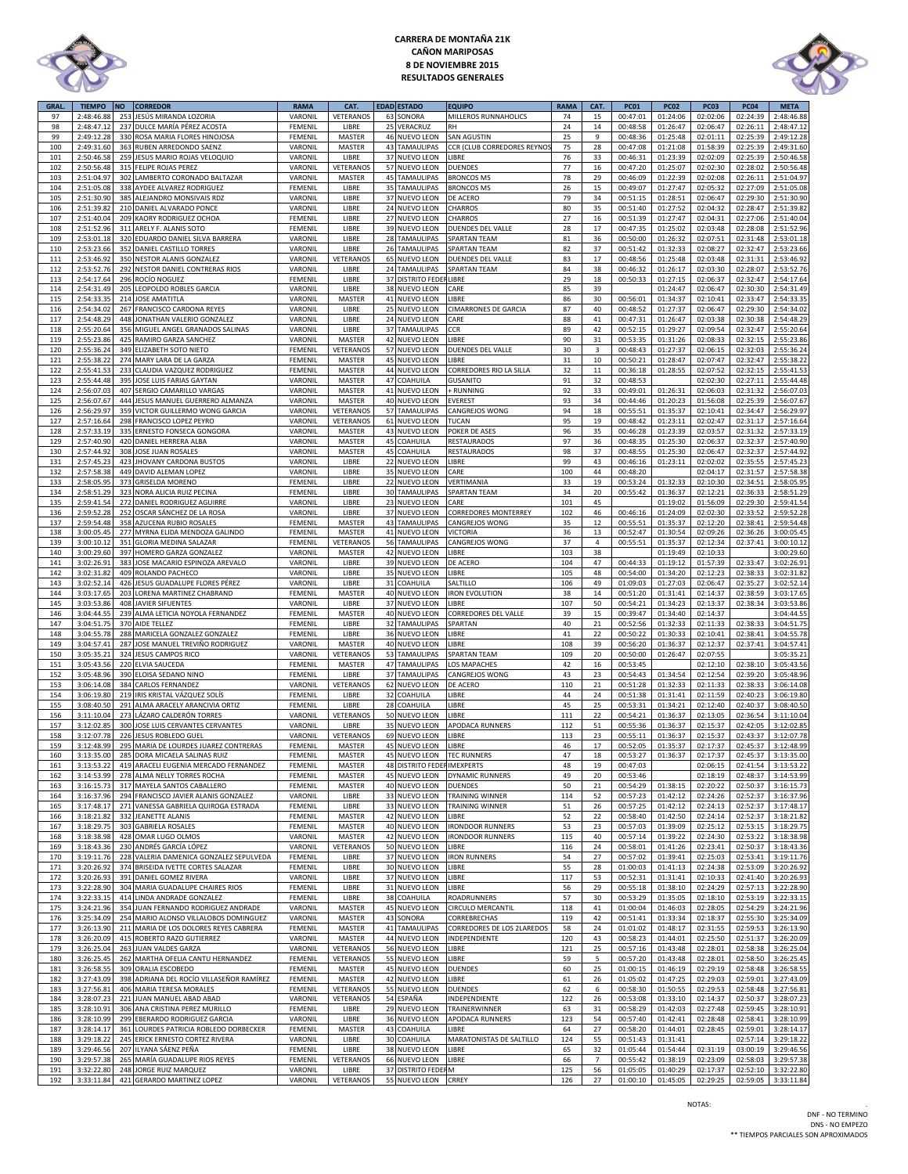

# **CARRERA DE MONTAÑA 21K CAÑON MARIPOSAS 8 DE NOVIEMBRE 2015 RESULTADOS GENERALES**



| <b>GRAL</b> | <b>TIEMPO</b> | <b>NO</b> | <b>CORREDOR</b>                          | <b>RAMA</b>        | CAT.            |    | <b>EDAD ESTADO</b>          | <b>EQUIPO</b>               | <b>RAMA</b> | CAT.                    | <b>PC01</b> | <b>PC02</b> | <b>PC03</b> | <b>PC04</b> | <b>META</b>         |
|-------------|---------------|-----------|------------------------------------------|--------------------|-----------------|----|-----------------------------|-----------------------------|-------------|-------------------------|-------------|-------------|-------------|-------------|---------------------|
| 97          | 2:48:46.88    | 253       | JESÚS MIRANDA LOZORIA                    | VARONIL            | VETERANOS       | 63 | SONORA                      | MILLEROS RUNNAHOLICS        | 74          | 15                      | 00:47:01    | 01:24:06    | 02:02:06    | 02:24:39    | 2:48:46.88          |
| 98          | 2:48:47.12    | 237       | DULCE MARÍA PÉREZ ACOSTA                 | FEMENIL            | LIBRE           | 25 | VERACRUZ                    | <b>RH</b>                   | 24          | $14\,$                  | 00:48:58    | 01:26:47    | 02:06:47    | 02:26:11    | 2:48:47.1           |
| 99          | 2:49:12.28    | 330       | ROSA MARIA FLORES HINOJOSA               | FEMENIL            | MASTER          | 46 | NUEVO LEON                  | <b>SAN AGUSTIN</b>          | 25          | 9                       | 00:48:36    | 01:25:48    | 02:01:11    | 02:25:39    | 2:49:12.28          |
| 100         | 2:49:31.60    |           | 363 RUBEN ARREDONDO SAENZ                | VARONIL            | MASTER          | 43 | TAMAULIPAS                  | CCR (CLUB CORREDORES REYNO) | 75          | 28                      | 00:47:08    | 01:21:08    | 01:58:39    | 02:25:39    | 2:49:31.60          |
| 101         | 2:50:46.58    |           | 259 JESUS MARIO ROJAS VELOQUIO           | VARONIL            | LIBRE           | 37 | <b>NUEVO LEON</b>           | LIBRE                       | 76          | 33                      | 00:46:31    | 01:23:39    | 02:02:09    | 02:25:39    | 2:50:46.58          |
| 102         | 2:50:56.48    |           | 315 FELIPE ROJAS PEREZ                   | VARONIL            | <b>VETERANO</b> | 57 | NUEVO LEON                  | <b>DUENDES</b>              | 77          | 16                      | 00:47:20    | 01:25:07    | 02:02:30    | 02:28:02    | 2:50:56.48          |
| 103         |               | 302       | LAMBERTO CORONADO BALTAZAR               | VARONIL            |                 |    | <b>45 TAMAULIPAS</b>        |                             | 78          | 29                      |             |             |             |             |                     |
|             | 2:51:04.97    |           |                                          |                    | MASTER          |    |                             | <b>BRONCOS MS</b>           |             |                         | 00:46:09    | 01:22:39    | 02:02:08    | 02:26:11    | 2:51:04.97          |
| 104         | 2:51:05.08    | 338       | AYDEE ALVAREZ RODRIGUEZ                  | <b>FEMENI</b>      | LIBRE           | 35 | TAMAULIPAS                  | <b>BRONCOS MS</b>           | 26          | 15                      | 00:49:07    | 01:27:47    | 02:05:32    | 02:27:09    | 2:51:05.08          |
| 105         | 2:51:30.90    | 385       | ALEJANDRO MONSIVAIS RDZ                  | VARONIL            | LIBRE           | 37 | NUEVO LEON                  | DE ACERO                    | 79          | 34                      | 00:51:15    | 01:28:51    | 02:06:47    | 02:29:30    | 2:51:30.90          |
| 106         | 2:51:39.8     | 210       | DANIEL ALVARADO PONCE                    | VARONIL            | LIBRE           | 24 | NUEVO LEON                  | CHARROS                     | 80          | 35                      | 00:51:40    | 01:27:52    | 02:04:32    | 02:28:47    | 2:51:39.8           |
| 107         | 2:51:40.04    | 209       | KAORY RODRIGUEZ OCHOA                    | FEMENIL            | LIBRE           | 27 | NUEVO LEON                  | CHARROS                     | 27          | 16                      | 00:51:39    | 01:27:47    | 02:04:31    | 02:27:06    | 2:51:40.04          |
| 108         | 2:51:52.96    | 311       | ARELY F. ALANIS SOTO                     | FEMENIL            | LIBRE           | 39 | <b>NUEVO LEON</b>           | DUENDES DEL VALLE           | 28          | 17                      | 00:47:35    | 01:25:02    | 02:03:48    | 02:28:08    | 2:51:52.96          |
| 109         | 2:53:01.18    |           | 320 EDUARDO DANIEL SILVA BARRERA         | VARONIL            | LIBRE           | 28 | TAMAULIPAS                  | <b>SPARTAN TEAM</b>         | 81          | 36                      | 00:50:00    | 01:26:32    | 02:07:51    | 02:31:48    | 2:53:01.18          |
| 110         | 2:53:23.66    |           | 352 DANIEL CASTILLO TORRES               | VARONIL            | LIBRE           |    | 26 TAMAULIPAS               | <b>SPARTAN TEAM</b>         | 82          | 37                      | 00:51:42    | 01:32:33    | 02:08:27    | 02:32:47    | 2:53:23.66          |
| 111         | 2:53:46.92    |           | 350 NESTOR ALANIS GONZALEZ               | VARONIL            | VETERANOS       |    | 65 NUEVO LEON               | DUENDES DEL VALLE           | 83          | 17                      | 00:48:56    | 01:25:48    | 02:03:48    | 02:31:31    | 2:53:46.92          |
| 112         | 2:53:52.76    | 292       | NESTOR DANIEL CONTRERAS RIOS             | VARONIL            | LIBRE           | 24 | TAMAULIPAS                  | <b>SPARTAN TEAM</b>         | 84          | 38                      | 00:46:32    | 01:26:17    | 02:03:30    | 02:28:07    | 2:53:52.76          |
| 113         | 2:54:17.64    | 296       | ROCÍO NOGUEZ                             | FEMENIL            | LIBRE           | 37 | <b>DISTRITO FEDE</b>        | <b>LIBRE</b>                | 29          | 18                      | 00:50:33    | 01:27:15    | 02:06:37    | 02:32:47    | 2:54:17.64          |
| 114         | 2:54:31.49    | 205       | LEOPOLDO ROBLES GARCIA                   | VARONIL            | LIBRE           | 38 | NUEVO LEON                  | CARE                        | 85          | 39                      |             | 01:24:47    | 02:06:47    | 02:30:30    | 2:54:31.49          |
| 115         | 2:54:33.35    | 214       | JOSE AMATITLA                            | VARONIL            | MASTER          | 41 | NUEVO LEON                  | <b>LIBRE</b>                | 86          | 30                      | 00:56:01    | 01:34:37    | 02:10:41    | 02:33:47    | 2:54:33.35          |
|             | 2:54:34.0     | 267       | <b>FRANCISCO CARDONA REYES</b>           | VARONI             | LIBRE           | 25 | <b>NUEVO LEON</b>           | CIMARRONES DE GARCIA        | 87          | 40                      | 00:48:52    | 01:27:37    | 02:06:47    | 02:29:30    | 2:54:34.02          |
| 116         |               |           |                                          |                    |                 |    |                             |                             |             |                         |             |             |             |             |                     |
| 117         | 2:54:48.29    |           | 448 JONATHAN VALERIO GONZALEZ            | VARONIL            | LIBRE           |    | 24 NUEVO LEON               | CARE                        | 88          | 41                      | 00:47:31    | 01:26:47    | 02:03:38    | 02:30:38    | 2:54:48.29          |
| 118         | 2:55:20.64    |           | 356 MIGUEL ANGEL GRANADOS SALINAS        | VARONIL            | LIBRE           |    | 37 TAMAULIPAS               | CCR                         | 89          | 42                      | 00:52:15    | 01:29:27    | 02:09:54    | 02:32:47    | 2:55:20.64          |
| 119         | 2:55:23.86    | 425       | RAMIRO GARZA SANCHEZ                     | VARONIL            | MASTER          | 42 | <b>NUEVO LEON</b>           | LIBRE                       | 90          | 31                      | 00:53:35    | 01:31:26    | 02:08:33    | 02:32:15    | 2:55:23.86          |
| 120         | 2:55:36.24    | 349       | ELIZABETH SOTO NIETO                     | FEMENIL            | <b>VETERANO</b> | 57 | <b>NUEVO LEON</b>           | DUENDES DEL VALLE           | 30          | $\overline{\mathbf{3}}$ | 00:48:43    | 01:27:37    | 02:06:15    | 02:32:03    | 2:55:36.24          |
| 121         | 2:55:38.2     |           | 274 MARY LARA DE LA GARZA                | FEMENIL            | MASTER          | 45 | <b>NUEVO LEON</b>           | LIBRE                       | 31          | $10\,$                  | 00:50:21    | 01:28:47    | 02:07:47    | 02:32:47    | 2:55:38.22          |
| 122         | 2:55:41.53    | 233       | CLAUDIA VAZQUEZ RODRIGUEZ                | FEMENIL            | MASTER          | 44 | <b>NUEVO LEON</b>           | CORREDORES RIO LA SILLA     | 32          | 11                      | 00:36:18    | 01:28:55    | 02:07:52    | 02:32:15    | 2:55:41.53          |
| 123         | 2:55:44.48    | 395       | JOSE LUIS FARIAS GAYTAN                  | VARONIL            | MASTER          | 47 | COAHUILA                    | <b>GUSANITO</b>             | 91          | 32                      | 00:48:53    |             | 02:02:30    | 02:27:11    | 2:55:44.48          |
| 124         | 2:56:07.03    | 407       | SERGIO CAMARILLO VARGAS                  | VARONIL            | MASTER          | 41 | <b>NUEVO LEON</b>           | <b>RUNNING</b>              | 92          | 33                      | 00:49:01    | 01:26:31    | 02:06:03    | 02:31:32    | 2:56:07.03          |
| 125         | 2:56:07.67    |           | 444 JESUS MANUEL GUERRERO ALMANZA        | VARONIL            | MASTER          |    | 40 NUEVO LEON               | <b>EVEREST</b>              | 93          | 34                      | 00:44:46    | 01:20:23    | 01:56:08    | 02:25:39    | 2:56:07.67          |
| 126         | 2:56:29.97    | 359       | VICTOR GUILLERMO WONG GARCIA             | VARONIL            | VETERANOS       | 57 | <b>TAMAULIPAS</b>           | CANGREJOS WONG              | 94          | 18                      | 00:55:51    | 01:35:37    | 02:10:41    | 02:34:47    | 2:56:29.97          |
| 127         | 2:57:16.64    | 298       | FRANCISCO LOPEZ PEYRO                    | VARONIL            | VETERANOS       | 61 | NUEVO LEON                  | TUCAN                       | 95          | 19                      | 00:48:42    | 01:23:11    | 02:02:47    | 02:31:17    | 2:57:16.64          |
| 128         | 2:57:33.19    | 335       | ERNESTO FONSECA GONGORA                  | VARONIL            | MASTER          | 43 | <b>NUEVO LEON</b>           | POKER DE ASES               | 96          | 35                      | 00:46:28    | 01:23:39    | 02:03:57    | 02:31:32    | 2:57:33.19          |
| 129         | 2:57:40.90    | 420       | DANIEL HERRERA ALBA                      | VARONIL            | MASTER          | 45 | COAHUILA                    | <b>RESTAURADOS</b>          | 97          | 36                      | 00:48:35    | 01:25:30    | 02:06:37    | 02:32:37    | 2:57:40.90          |
| 130         | 2:57:44.9     | 308       | JOSE JUAN ROSALES                        | VARONIL            | MASTER          | 45 | COAHUILA                    | RESTAURADOS                 | 98          | 37                      | 00:48:55    | 01:25:30    | 02:06:47    | 02:32:37    | 2:57:44.92          |
| 131         | 2:57:45.2     | 423       | <b>JHOVANY CARDONA BUSTOS</b>            | VARONIL            | LIBRE           | 22 | <b>NUEVO LEON</b>           | LIBRE                       | 99          | 43                      | 00:46:16    | 01:23:11    | 02:02:02    | 02:35:55    | 2:57:45.23          |
| 132         | 2:57:58.38    |           | 449 DAVID ALEMAN LOPEZ                   |                    |                 | 35 | <b>NUEVO LEON</b>           | CARE                        | 100         | 44                      | 00:48:20    |             | 02:04:17    | 02:31:57    | 2:57:58.38          |
| 133         | 2:58:05.95    | 373       | <b>GRISELDA MORENO</b>                   | VARONIL<br>FEMENIL | LIBRE<br>LIBRE  | 22 | <b>NUEVO LEON</b>           | VERTIMANIA                  | 33          | 19                      | 00:53:24    | 01:32:33    | 02:10:30    | 02:34:51    | 2:58:05.95          |
|             |               |           |                                          |                    |                 |    |                             |                             |             |                         |             |             |             |             |                     |
| 134         | 2:58:51.29    | 323       | NORA ALICIA RUIZ PECINA                  | FEMENIL            | LIBRE           | 30 | TAMAULIPAS                  | <b>SPARTAN TEAM</b>         | 34          | 20                      | 00:55:42    | 01:36:37    | 02:12:21    | 02:36:33    | 2:58:51.29          |
| 135         | 2:59:41.54    |           | 272 DANIEL RODRIGUEZ AGUIRRE             | VARONIL            | LIBRE           | 23 | <b>NUEVO LEON</b>           | CARE                        | 101         | 45                      |             | 01:19:02    | 01:56:09    | 02:29:30    | 2:59:41.54          |
| 136         | 2:59:52.28    | 252       | OSCAR SÁNCHEZ DE LA ROSA                 | VARONIL            | LIBRE           |    | 37 NUEVO LEON               | CORREDORES MONTERREY        | 102         | 46                      | 00:46:16    | 01:24:09    | 02:02:30    | 02:33:52    | 2:59:52.28          |
| 137         | 2:59:54.48    | 358       | AZUCENA RUBIO ROSALES                    | FEMENIL            | MASTER          | 43 | TAMAULIPAS                  | CANGREJOS WONG              | 35          | 12                      | 00:55:51    | 01:35:37    | 02:12:20    | 02:38:41    | 2:59:54.48          |
| 138         | 3:00:05.45    |           | 277 MYRNA ELIDA MENDOZA GALINDO          | FEMENIL            | MASTER          |    | 41 NUEVO LEON               | <b>VICTORIA</b>             | 36          | 13                      | 00:52:47    | 01:30:54    | 02:09:26    | 02:36:26    | 3:00:05.45          |
| 139         | 3:00:10.12    | 351       | GLORIA MEDINA SALAZAR                    | FEMENIL            | VETERANOS       | 56 | TAMAULIPAS                  | CANGREJOS WONG              | 37          | 4                       | 00:55:51    | 01:35:37    | 02:12:34    | 02:37:41    | 3:00:10.12          |
| 140         | 3:00:29.60    | 397       | HOMERO GARZA GONZALEZ                    | VARONIL            | MASTER          | 42 | NUEVO LEON                  | <b>JBRE</b>                 | 103         | 38                      |             | 01:19:49    | 02:10:33    |             | 3:00:29.60          |
| 141         | 3:02:26.91    | 383       | JOSE MACARIO ESPINOZA AREVALO            | VARONIL            | LIBRE           | 39 | <b>NUEVO LEON</b>           | DE ACERO                    | 104         | 47                      | 00:44:33    | 01:19:12    | 01:57:39    | 02:33:47    | 3:02:26.91          |
| 142         | 3:02:31.82    | 409       | ROLANDO PACHECO                          | VARONIL            | LIBRE           | 35 | <b>NUEVO LEON</b>           | LIBRE                       | 105         | 48                      | 00:54:00    | 01:34:20    | 02:12:23    | 02:38:33    | 3:02:31.82          |
| 143         | 3:02:52.14    | 426       | JESUS GUADALUPE FLORES PÉREZ             | VARONIL            | LIBRE           |    | 31 COAHUILA                 | SALTILLO                    | 106         | 49                      | 01:09:03    | 01:27:03    | 02:06:47    | 02:35:27    | 3:02:52.14          |
| 144         | 3:03:17.65    | 203       | LORENA MARTINEZ CHABRAND                 | FEMENIL            | MASTER          |    | 40 NUEVO LEON               | <b>IRON EVOLUTION</b>       | 38          | 14                      | 00:51:20    | 01:31:41    | 02:14:37    | 02:38:59    | 3:03:17.65          |
| 145         | 3:03:53.86    | 408       | JAVIER SIFUENTES                         | VARONIL            | LIBRE           | 37 | <b>NUEVO LEON</b>           | <b>JBRE</b>                 | 107         | 50                      | 00:54:21    | 01:34:23    | 02:13:37    | 02:38:34    | 3:03:53.86          |
| 146         | 3:04:44.55    | 239       | ALMA LETICIA NOYOLA FERNANDEZ            | FEMENIL            | MASTER          |    | 40 NUEVO LEON               | CORREDORES DEL VALLE        | 39          | 15                      | 00:39:47    | 01:34:40    | 02:14:37    |             | 3:04:44.55          |
| 147         | 3:04:51.75    | 370       | AIDE TELLEZ                              | FEMENIL            | LIBRE           | 32 | TAMAULIPAS                  | SPARTAN                     | 40          | 21                      | 00:52:56    | 01:32:33    | 02:11:33    | 02:38:33    | 3:04:51.75          |
| 148         | 3:04:55.78    | 288       | MARICELA GONZALEZ GONZALEZ               | <b>FEMENI</b>      | LIBRE           | 36 | <b>NUEVO LEON</b>           | <b>IBRE</b>                 | 41          | 22                      | 00:50:22    | 01:30:33    | 02:10:41    | 02:38:41    | 3:04:55.78          |
| 149         | 3:04:57.41    | 287       | JOSE MANUEL TREVIÑO RODRIGUEZ            | VARONIL            | MASTER          |    | 40 NUEVO LEON               | <b>JIBRE</b>                | 108         | 39                      | 00:56:20    | 01:36:37    | 02:12:37    | 02:37:41    | 3:04:57.41          |
|             |               |           |                                          |                    |                 |    |                             |                             |             |                         |             |             |             |             |                     |
| 150         | 3:05:35.21    |           | 324 JESUS CAMPOS RICO                    | VARONIL            | VETERANOS       | 53 | TAMAULIPAS                  | <b>SPARTAN TEAM</b>         | 109         | 20                      | 00:50:00    | 01:26:47    | 02:07:55    |             | 3:05:35.21          |
| 151         | 3:05:43.56    |           | 220 ELVIA SAUCEDA                        | FEMENIL            | MASTER          | 47 | <b>TAMAULIPAS</b>           | LOS MAPACHES                | 42          | 16                      | 00:53:45    |             | 02:12:10    | 02:38:10    | 3:05:43.56          |
| 152         | 3:05:48.96    |           | 390 ELOISA SEDANO NINO                   | FEMENIL            | LIBRE           | 37 | TAMAULIPAS                  | CANGREJOS WONG              | 43          | 23                      | 00:54:43    | 01:34:54    | 02:12:54    | 02:39:20    | 3:05:48.96          |
| 153         | 3:06:14.08    |           | 384 CARLOS FERNANDEZ                     | VARONIL            | VETERANOS       |    | 62 NUEVO LEON               | DE ACERO                    | 110         | 21                      | 00:51:28    | 01:32:33    | 02:11:33    | 02:38:33    | 3:06:14.08          |
| 154         | 3:06:19.80    | 219       | IRIS KRISTAL VÁZQUEZ SOLÍS               | <b>FEMENI</b>      | LIBRE           | 32 | COAHUILA                    | <b>JBRE</b>                 | 44          | 24                      | 00:51:38    | 01:31:41    | 02:11:59    | 02:40:23    | 3:06:19.80          |
| 155         | 3:08:40.50    | 291       | ALMA ARACELY ARANCIVIA ORTIZ             | FEMENIL            | LIBRE           | 28 | COAHUILA                    | <b>JBRE</b>                 | 45          | 25                      | 00:53:31    | 01:34:21    | 02:12:40    | 02:40:37    | 3:08:40.50          |
| 156         | 3:11:10.04    | 273       | LÁZARO CALDERÓN TORRES                   | VARONIL            | VETERANOS       | 50 | <b>NUEVO LEON</b>           | LIBRE                       | 111         | 22                      | 00:54:21    | 01:36:37    | 02:13:05    | 02:36:54    | 3:11:10.04          |
| 157         | 3:12:02.85    |           | 300 JOSE LUIS CERVANTES CERVANTES        | VARONIL            | LIBRE           | 35 | NUEVO LEON                  | APODACA RUNNERS             | 112         | 51                      | 00:55:36    | 01:36:37    | 02:15:37    | 02:42:05    | 3:12:02.85          |
| 158         | 3:12:07.78    | 226       | <b>JESUS ROBLEDO GUEL</b>                | VARONIL            | VETERANOS       | 69 | <b>NUEVO LEON</b>           | LIBRE                       | 113         | 23                      | 00:55:11    | 01:36:37    | 02:15:37    | 02:43:37    | 3:12:07.78          |
| 159         | 3:12:48.99    |           | 295 MARIA DE LOURDES JUAREZ CONTRERAS    | FEMENIL            | MASTER          |    | 45 NUEVO LEON               | LIBRE                       | 46          | 17                      | 00:52:05    | 01:35:37    | 02:17:37    | 02:45:37    | 3:12:48.99          |
| 160         | 3:13:35.00    |           | 285 DORA MICAELA SALINAS RUIZ            | FEMENIL            | MASTER          |    | 45 NUEVO LEON               | <b>TEC RUNNERS</b>          | 47          | 18                      | 00:53:27    | 01:36:37    | 02:17:37    | 02:45:37    | 3:13:35.00          |
| 161         | 3:13:53.22    |           | 419 ARACELI EUGENIA MERCADO FERNANDEZ    | FEMENIL            | MASTER          |    | 48 DISTRITO FEDER IMEXPERTS |                             | 48          | 19                      | 00:47:03    |             | 02:06:15    | 02:41:54    | 3:13:53.22          |
| 162         | 3:14:53.99    |           | 278 ALMA NELLY TORRES ROCHA              | FEMENIL            | MASTER          |    | 45 NUEVO LEON               | <b>DYNAMIC RUNNERS</b>      | 49          | 20                      | 00:53:46    |             | 02:18:19    | 02:48:37    | 3:14:53.99          |
| 163         | 3:16:15.73    |           | 317 MAYELA SANTOS CABALLERO              | FEMENIL            | MASTER          |    | 40 NUEVO LEON               | <b>DUENDES</b>              | 50          | 21                      | 00:54:29    | 01:38:15    | 02:20:22    | 02:50:37    | 3:16:15.73          |
| 164         | 3:16:37.96    |           | 294 FRANCISCO JAVIER ALANIS GONZALEZ     | VARONIL            | LIBRE           |    | 33 NUEVO LEON               | <b>TRAINING WINNER</b>      | 114         | 52                      | 00:57:23    | 01:42:12    | 02:24:26    | 02:52:37    | 3:16:37.96          |
| 165         | 3:17:48.17    | 271       | VANESSA GABRIELA QUIROGA ESTRADA         | FEMENIL            | LIBRE           |    | 33 NUEVO LEON               | <b>TRAINING WINNER</b>      | 51          | 26                      | 00:57:25    | 01:42:12    | 02:24:13    | 02:52:37    | 3:17:48.17          |
| 166         | 3:18:21.82    |           | 332 JEANETTE ALANIS                      | FEMENIL            | MASTER          |    | 42 NUEVO LEON               | LIBRE                       | 52          | 22                      | 00:58:40    | 01:42:50    | 02:24:14    | 02:52:37    | 3:18:21.82          |
| 167         | 3:18:29.75    |           | 303 GABRIELA ROSALES                     | <b>FEMENIL</b>     | MASTER          |    | 40 NUEVO LEON               | <b>IRONDOOR RUNNERS</b>     | 53          | 23                      | 00:57:03    | 01:39:09    | 02:25:12    | 02:53:15    | 3:18:29.75          |
|             |               |           |                                          |                    |                 |    |                             |                             |             |                         |             |             |             |             |                     |
| 168         | 3:18:38.98    |           | 428 OMAR LUGO OLMOS                      | VARONIL            | MASTER          |    | 42 NUEVO LEON               | <b>IRONDOOR RUNNERS</b>     | 115         | 40                      | 00:57:14    | 01:39:22    | 02:24:30    | 02:53:22    | 3:18:38.98          |
| 169         | 3:18:43.36    |           | 230 ANDRÉS GARCÍA LÓPEZ                  | VARONIL            | VETERANOS       |    | 50 NUEVO LEON               | LIBRE                       | 116         | 24                      | 00:58:01    | 01:41:26    | 02:23:41    | 02:50:37    | 3:18:43.36          |
| 170         | 3:19:11.76    | 228       | VALERIA DAMENICA GONZALEZ SEPULVEDA      | FEMENIL            | LIBRE           |    | 37 NUEVO LEON               | <b>IRON RUNNERS</b>         | 54          | 27                      | 00:57:02    | 01:39:41    | 02:25:03    | 02:53:41    | 3:19:11.76          |
| 171         | 3:20:26.92    |           | 374 BRISEIDA IVETTE CORTES SALAZAR       | FEMENIL            | LIBRE           |    | 30 NUEVO LEON               | LIBRE                       | 55          | 28                      | 01:00:03    | 01:41:13    | 02:24:38    | 02:53:09    | 3:20:26.92          |
| 172         | 3:20:26.93    | 391       | DANIEL GOMEZ RIVERA                      | VARONIL            | LIBRE           |    | 37 NUEVO LEON               | LIBRE                       | 117         | 53                      | 00:52:31    | 01:31:41    | 02:10:33    | 02:41:40    | 3:20:26.93          |
| 173         | 3:22:28.90    |           | 304 MARIA GUADALUPE CHAIRES RIOS         | FEMENIL            | LIBRE           |    | 31 NUEVO LEON               | LIBRE                       | 56          | 29                      | 00:55:18    | 01:38:10    | 02:24:29    | 02:57:13    | 3:22:28.90          |
| 174         | 3:22:33.15    |           | 414 LINDA ANDRADE GONZALEZ               | <b>FEMENIL</b>     | LIBRE           |    | 38 COAHUILA                 | ROADRUNNERS                 | 57          | 30                      | 00:53:29    | 01:35:05    | 02:18:10    | 02:53:19    | 3:22:33.15          |
| 175         | 3:24:21.96    |           | 354 JUAN FERNANDO RODRIGUEZ ANDRADE      | VARONIL            | MASTER          |    | 45 NUEVO LEON               | CIRCULO MERCANTIL           | 118         | 41                      | 01:00:04    | 01:46:03    | 02:28:05    | 02:54:29    | 3:24:21.96          |
| 176         | 3:25:34.09    |           | 254 MARIO ALONSO VILLALOBOS DOMINGUEZ    | VARONIL            | MASTER          |    | 43 SONORA                   | CORREBRECHAS                | 119         | 42                      | 00:51:41    | 01:33:34    | 02:18:37    | 02:55:30    | 3:25:34.09          |
| 177         | 3:26:13.90    | 211       | MARIA DE LOS DOLORES REYES CABRERA       | FEMENIL            | MASTER          | 41 | <b>TAMAULIPAS</b>           | CORREDORES DE LOS 2LAREDOS  | 58          | 24                      | 01:01:02    | 01:48:17    | 02:31:55    | 02:59:53    | 3:26:13.90          |
| 178         | 3:26:20.09    | 415       | ROBERTO RAZO GUTIERREZ                   | VARONIL            | MASTER          |    | 44 NUEVO LEON               | INDEPENDIENTE               | 120         | 43                      | 00:58:23    | 01:44:01    | 02:25:50    | 02:51:37    | 3:26:20.09          |
| 179         | 3:26:25.04    |           | 263 JUAN VALDES GARZA                    | VARONIL            | VETERANOS       |    | 56 NUEVO LEON               | LIBRE                       | 121         | 25                      | 00:57:16    | 01:43:48    | 02:28:01    | 02:58:38    | 3:26:25.04          |
| 180         | 3:26:25.45    |           | 262 MARTHA OFELIA CANTU HERNANDEZ        | FEMENIL            | VETERANOS       |    | 55 NUEVO LEON               | LIBRE                       | 59          | 5                       | 00:57:20    | 01:43:48    | 02:28:01    | 02:58:50    | 3:26:25.45          |
| 181         | 3:26:58.55    |           | 309 ORALIA ESCOBEDO                      | FEMENIL            | MASTER          |    | 45 NUEVO LEON               | <b>DUENDES</b>              | 60          | 25                      | 01:00:15    | 01:46:19    | 02:29:19    | 02:58:48    | 3:26:58.55          |
| 182         | 3:27:43.09    |           | 398 ADRIANA DEL ROCÍO VILLASEÑOR RAMÍREZ | FEMENIL            | MASTER          |    | 42 NUEVO LEON               | LIBRE                       | 61          | 26                      | 01:05:02    | 01:47:25    | 02:29:03    | 02:59:01    | 3:27:43.09          |
| 183         | 3:27:56.81    |           | 406 MARIA TERESA MORALES                 | FEMENIL            | VETERANOS       |    | 55 NUEVO LEON               | <b>DUENDES</b>              | 62          | 6                       | 00:58:30    | 01:50:55    | 02:29:53    | 02:58:48    | 3:27:56.81          |
| 184         | 3:28:07.23    | 221       | JUAN MANUEL ABAD ABAD                    | VARONIL            | VETERANOS       | 54 | ESPAÑA                      | INDEPENDIENTE               | 122         | 26                      | 00:53:08    | 01:33:10    | 02:14:37    | 02:50:37    | 3:28:07.23          |
| 185         | 3:28:10.91    |           | 306 ANA CRISTINA PEREZ MURILLO           | <b>FEMENIL</b>     | LIBRE           |    | 29 NUEVO LEON               | TRAINERWINNER               | 63          | 31                      | 00:58:29    | 01:42:03    | 02:27:48    | 02:59:45    | 3:28:10.91          |
|             |               |           |                                          |                    |                 |    |                             |                             |             |                         |             |             |             |             |                     |
| 186         | 3:28:10.99    | 299       | EBERARDO RODRIGUEZ GARCIA                | VARONIL            | LIBRE           |    | 36 NUEVO LEON               | APODACA RUNNERS             | 123         | 54                      | 00:57:40    | 01:42:41    | 02:28:48    | 02:58:41    | 3:28:10.99          |
| 187         | 3:28:14.1     | 361       | LOURDES PATRICIA ROBLEDO DORBECKER       | FEMENIL            | MASTER          | 43 | COAHUILA                    | LIBRE                       | 64          | 27                      | 00:58:20    | 01:44:01    | 02:28:45    | 02:59:01    | 3:28:14.17          |
| 188         | 3:29:18.22    |           | 245 ERICK ERNESTO CORTEZ RIVERA          | VARONIL            | LIBRE           |    | 30 COAHUILA                 | MARATONISTAS DE SALTILLO    | 124         | 55                      | 00:51:43    | 01:31:41    |             | 02:57:14    | 3:29:18.22          |
| 189         | 3:29:46.56    |           | 207 ILYANA SÁENZ PEÑA                    | FEMENIL            | LIBRE           |    | 38 NUEVO LEON               | LIBRE                       | 65          | 32                      | 01:05:44    | 01:54:44    | 02:31:19    | 03:00:19    | 3:29:46.56          |
| 190         | 3:29:57.38    | 265       | MARÍA GUADALUPE RIOS REYES               | FEMENIL            | VETERANOS       |    | 66 NUEVO LEON               | LIBRE                       | 66          | $\overline{7}$          | 00:55:42    | 01:38:19    | 02:23:09    | 02:58:03    | 3:29:57.38          |
|             | 3:32:22.80    |           | 248 JORGE RUIZ MARQUEZ                   | VARONIL            | LIBRE           |    | 37 DISTRITO FEDE            | M                           | 125         | 56                      | 01:05:05    | 01:40:29    | 02:17:37    | 02:52:10    | 3:32:22.80          |
| 191<br>192  | 3:33:11.84    |           | 421 GERARDO MARTINEZ LOPEZ               | VARONIL            | VETERANOS       |    | 55 NUEVO LEON CRREY         |                             | 126         | 27                      | 01:00:10    | 01:45:05    | 02:29:25    |             | 02:59:05 3:33:11.84 |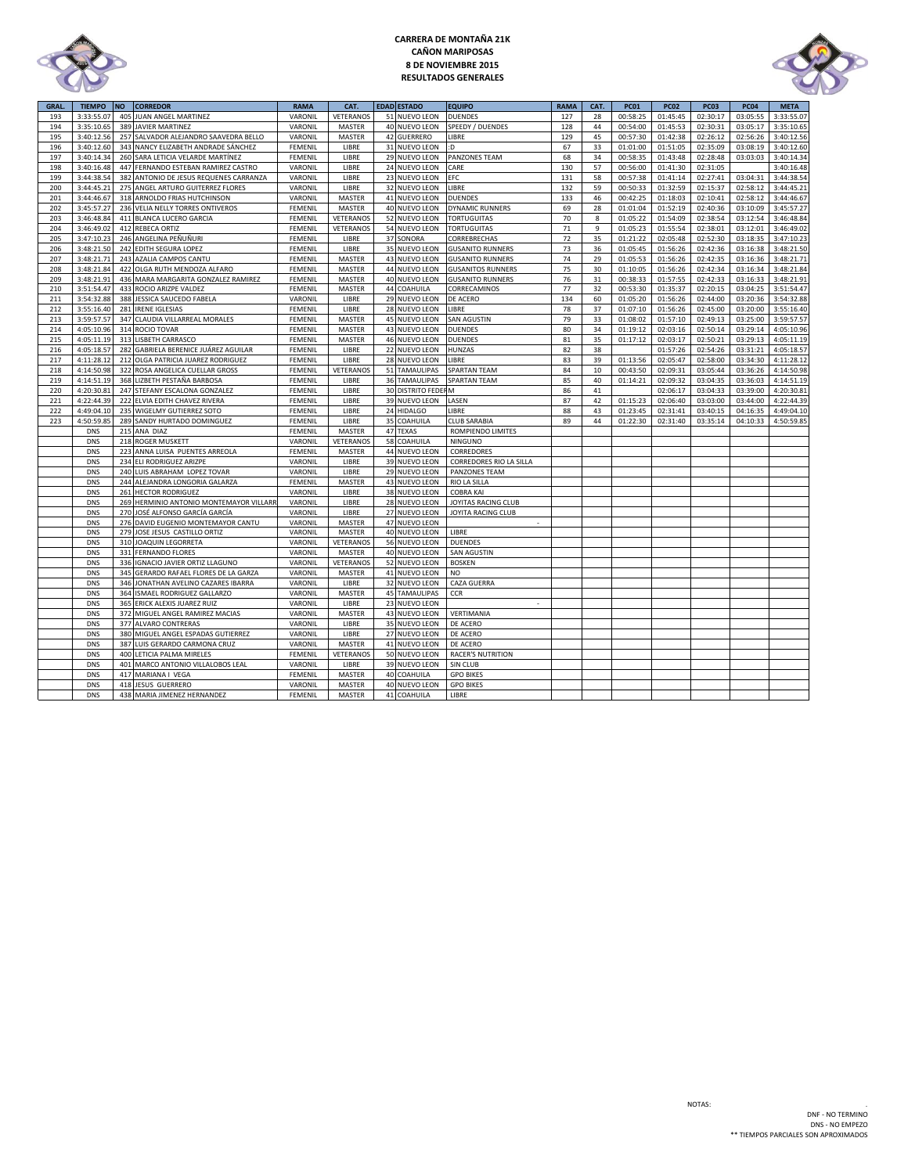

# **CARRERA DE MONTAÑA 21K CAÑON MARIPOSAS 8 DE NOVIEMBRE 2015 RESULTADOS GENERALES**



| <b>GRAL</b> | <b>TIEMPO</b> | <b>NO</b> | <b>CORREDOR</b>                         | <b>RAMA</b>    | CAT.          |    | <b>EDAD ESTADO</b>      | <b>EQUIPO</b>            | <b>RAMA</b> | CAT. | <b>PC01</b> | <b>PC02</b> | <b>PC03</b> | <b>PC04</b> | <b>META</b> |
|-------------|---------------|-----------|-----------------------------------------|----------------|---------------|----|-------------------------|--------------------------|-------------|------|-------------|-------------|-------------|-------------|-------------|
| 193         | 3:33:55.07    |           | 405 JUAN ANGEL MARTINEZ                 | VARONIL        | VETERANOS     | 51 | <b>NUEVO LEON</b>       | <b>DUENDES</b>           | 127         | 28   | 00:58:25    | 01:45:45    | 02:30:17    | 03:05:55    | 3:33:55.07  |
| 194         | 3:35:10.65    |           | 389 JAVIER MARTINEZ                     | VARONIL        | MASTER        |    | 40 NUEVO LEON           | SPEEDY / DUENDES         | 128         | 44   | 00:54:00    | 01:45:53    | 02:30:31    | 03:05:17    | 3:35:10.65  |
| 195         | 3:40:12.56    |           | 257 SALVADOR ALEJANDRO SAAVEDRA BELLO   | VARONIL        | MASTER        | 42 | <b>GUERRERO</b>         | LIBRE                    | 129         | 45   | 00:57:30    | 01:42:38    | 02:26:12    | 02:56:26    | 3:40:12.56  |
| 196         | 3:40:12.60    |           | 343 NANCY ELIZABETH ANDRADE SÁNCHEZ     | FEMENIL        | LIBRE         |    | 31 NUEVO LEON           | :D                       | 67          | 33   | 01:01:00    | 01:51:05    | 02:35:09    | 03:08:19    | 3:40:12.60  |
| 197         | 3:40:14.34    |           | 260 SARA LETICIA VELARDE MARTÍNEZ       | FEMENIL        | LIBRE         |    | 29 NUEVO LEON           | PANZONES TEAM            | 68          | 34   | 00:58:35    | 01:43:48    | 02:28:48    | 03:03:03    | 3:40:14.34  |
| 198         | 3:40:16.48    |           | 447 FERNANDO ESTEBAN RAMIREZ CASTRO     | VARONIL        | LIBRE         |    | 24 NUEVO LEON           | CARE                     | 130         | 57   | 00:56:00    | 01:41:30    | 02:31:05    |             | 3:40:16.48  |
| 199         | 3:44:38.54    |           | 382 ANTONIO DE JESUS REQUENES CARRANZA  | VARONIL        | LIBRE         |    | 23 NUEVO LEON           | EFC                      | 131         | 58   | 00:57:38    | 01:41:14    | 02:27:41    | 03:04:31    | 3:44:38.54  |
| 200         | 3:44:45.21    |           | 275 ANGEL ARTURO GUITERREZ FLORES       | VARONIL        | LIBRE         | 32 | <b>NUEVO LEON</b>       | LIBRE                    | 132         | 59   | 00:50:33    | 01:32:59    | 02:15:37    | 02:58:12    | 3:44:45.23  |
| 201         | 3:44:46.67    |           | 318 ARNOLDO FRIAS HUTCHINSON            | VARONIL        | <b>MASTER</b> |    | 41 NUEVO LEON           | <b>DUENDES</b>           | 133         | 46   | 00:42:25    | 01:18:03    | 02:10:41    | 02:58:12    | 3:44:46.67  |
| 202         | 3:45:57.27    |           | 236 VELIA NELLY TORRES ONTIVEROS        | FEMENIL        | MASTER        |    | 40 NUEVO LEON           | <b>DYNAMIC RUNNERS</b>   | 69          | 28   | 01:01:04    | 01:52:19    | 02:40:36    | 03:10:09    | 3:45:57.27  |
| 203         | 3:46:48.84    |           | 411 BLANCA LUCERO GARCIA                | FEMENIL        | VETERANOS     |    | 52 NUEVO LEON           | <b>TORTUGUITAS</b>       | 70          | 8    | 01:05:22    | 01:54:09    | 02:38:54    | 03:12:54    | 3:46:48.84  |
| 204         | 3:46:49.02    |           | 412 REBECA ORTIZ                        | <b>FEMENIL</b> | VETERANOS     | 54 | <b>NUEVO LEON</b>       | <b>TORTUGUITAS</b>       | 71          | 9    | 01:05:23    | 01:55:54    | 02:38:01    | 03:12:01    | 3:46:49.02  |
| 205         | 3:47:10.23    |           | 246 ANGELINA PEÑUÑURI                   | FEMENIL        | LIBRE         | 37 | SONORA                  | CORREBRECHAS             | 72          | 35   | 01:21:22    | 02:05:48    | 02:52:30    | 03:18:35    | 3:47:10.23  |
| 206         | 3:48:21.50    |           | 242 EDITH SEGURA LOPEZ                  | FEMENIL        | LIBRE         | 35 | <b>NUEVO LEON</b>       | <b>GUSANITO RUNNERS</b>  | 73          | 36   | 01:05:45    | 01:56:26    | 02:42:36    | 03:16:38    | 3:48:21.50  |
| 207         | 3:48:21.71    |           | 243 AZALIA CAMPOS CANTU                 | FEMENIL        | MASTER        |    | 43 NUEVO LEON           | <b>GUSANITO RUNNERS</b>  | 74          | 29   | 01:05:53    | 01:56:26    | 02:42:35    | 03:16:36    | 3:48:21.71  |
| 208         | 3:48:21.84    |           | 422 OLGA RUTH MENDOZA ALFARO            | <b>FEMENIL</b> | <b>MASTER</b> | 44 | <b>NUEVO LEON</b>       | <b>GUSANITOS RUNNERS</b> | 75          | 30   | 01:10:05    | 01:56:26    | 02:42:34    | 03:16:34    | 3:48:21.84  |
| 209         | 3:48:21.91    |           | 436 MARA MARGARITA GONZALEZ RAMIREZ     | <b>FEMENIL</b> | MASTER        |    | 40 NUEVO LEON           | <b>GUSANITO RUNNERS</b>  | 76          | 31   | 00:38:33    | 01:57:55    | 02:42:33    | 03:16:33    | 3:48:21.91  |
| 210         | 3:51:54.47    |           | 433 ROCIO ARIZPE VALDEZ                 | <b>FEMENIL</b> | <b>MASTER</b> |    | 44 COAHUILA             | CORRECAMINOS             | 77          | 32   | 00:53:30    | 01:35:37    | 02:20:15    | 03:04:25    | 3:51:54.47  |
| 211         | 3:54:32.88    |           | 388 JESSICA SAUCEDO FABELA              | VARONIL        | LIBRE         |    | 29 NUEVO LEON           | DE ACERO                 | 134         | 60   | 01:05:20    | 01:56:26    | 02:44:00    | 03:20:36    | 3:54:32.88  |
| 212         | 3:55:16.40    |           | 281 IRENE IGLESIAS                      | FEMENIL        | LIBRE         |    | 28 NUEVO LEON           | <b>LIBRE</b>             | 78          | 37   | 01:07:10    | 01:56:26    | 02:45:00    | 03:20:00    | 3:55:16.40  |
| 213         | 3:59:57.57    |           | 347 CLAUDIA VILLARREAL MORALES          | FEMENIL        | MASTER        |    | 45 NUEVO LEON           | SAN AGUSTIN              | 79          | 33   | 01:08:02    | 01:57:10    | 02:49:13    | 03:25:00    | 3:59:57.57  |
| 214         | 4:05:10.96    |           | 314 ROCIO TOVAR                         | FEMENIL        | MASTER        |    | 43 NUEVO LEON           | <b>DUENDES</b>           | 80          | 34   | 01:19:12    | 02:03:16    | 02:50:14    | 03:29:14    | 4:05:10.96  |
| 215         | 4:05:11.19    |           | 313 LISBETH CARRASCO                    | FEMENIL        | MASTER        |    | 46 NUEVO LEON           | <b>DUENDES</b>           | 81          | 35   | 01:17:12    | 02:03:17    | 02:50:21    | 03:29:13    | 4:05:11.19  |
| 216         | 4:05:18.57    |           | 282 GABRIELA BERENICE JUÁREZ AGUILAR    | FEMENIL        | LIBRE         |    | 22 NUEVO LEON           | HUNZAS                   | 82          | 38   |             | 01:57:26    | 02:54:26    | 03:31:21    | 4:05:18.57  |
| 217         | 4:11:28.12    |           | 212 OLGA PATRICIA JUAREZ RODRIGUEZ      | FEMENIL        | LIBRE         |    | 28 NUEVO LEON           | LIBRE                    | 83          | 39   | 01:13:56    | 02:05:47    | 02:58:00    | 03:34:30    | 4:11:28.12  |
| 218         | 4:14:50.98    |           | 322 ROSA ANGELICA CUELLAR GROSS         | FEMENIL        | VETERANOS     |    | 51 TAMAULIPAS           | <b>SPARTAN TEAM</b>      | 84          | 10   | 00:43:50    | 02:09:31    | 03:05:44    | 03:36:26    | 4:14:50.98  |
| 219         | 4:14:51.19    |           | 368 LIZBETH PESTAÑA BARBOSA             | FEMENIL        | LIBRE         | 36 | <b>TAMAULIPAS</b>       | <b>SPARTAN TEAM</b>      | 85          | 40   | 01:14:21    | 02:09:32    | 03:04:35    | 03:36:03    | 4:14:51.19  |
| 220         | 4:20:30.8     |           | 247 STEFANY ESCALONA GONZALEZ           | FEMENIL        | LIBRE         |    | <b>30 DISTRITO FEDE</b> | M                        | 86          | 41   |             | 02:06:17    | 03:04:33    | 03:39:00    | 4:20:30.81  |
| 221         | 4:22:44.39    |           | 222 ELVIA EDITH CHAVEZ RIVERA           | FEMENIL        | LIBRE         |    | 39 NUEVO LEON           | LASEN                    | 87          | 42   | 01:15:23    | 02:06:40    | 03:03:00    | 03:44:00    | 4:22:44.39  |
| 222         | 4:49:04.10    |           | 235 WIGELMY GUTIERREZ SOTO              | FEMENIL        | LIBRE         |    | 24 HIDALGO              | LIBRE                    | 88          | 43   | 01:23:45    | 02:31:41    | 03:40:15    | 04:16:35    | 4:49:04.10  |
| 223         | 4:50:59.8     |           | 289 SANDY HURTADO DOMINGUEZ             | FEMENIL        | LIBRE         | 35 | COAHUILA                | CLUB SARABIA             | 89          | 44   | 01:22:30    | 02:31:40    | 03:35:14    | 04:10:33    | 4:50:59.85  |
|             | <b>DNS</b>    |           | 215 ANA DIAZ                            | <b>FEMENIL</b> | MASTER        | 47 | <b>TEXAS</b>            | <b>ROMPIENDO LIMITES</b> |             |      |             |             |             |             |             |
|             | <b>DNS</b>    |           | 218 ROGER MUSKETT                       | VARONIL        | VETERANOS     | 58 | COAHUILA                | <b>NINGUNO</b>           |             |      |             |             |             |             |             |
|             | <b>DNS</b>    | 223       | ANNA LUISA PUENTES ARREOLA              | FEMENIL        | MASTER        | 44 | <b>NUEVO LEON</b>       | CORREDORES               |             |      |             |             |             |             |             |
|             | <b>DNS</b>    |           | 234 ELI RODRIGUEZ ARIZPE                | VARONIL        | LIBRE         |    | 39 NUEVO LEON           | CORREDORES RIO LA SILLA  |             |      |             |             |             |             |             |
|             | <b>DNS</b>    |           | 240 LUIS ABRAHAM LOPEZ TOVAR            | VARONIL        | LIBRE         |    | 29 NUEVO LEON           | PANZONES TEAM            |             |      |             |             |             |             |             |
|             | <b>DNS</b>    |           | 244 ALEJANDRA LONGORIA GALARZA          | FEMENIL        | MASTER        |    | 43 NUEVO LEON           | RIO LA SILLA             |             |      |             |             |             |             |             |
|             | <b>DNS</b>    | 261       | <b>HECTOR RODRIGUEZ</b>                 | VARONIL        | LIBRE         |    | 38 NUEVO LEON           | <b>COBRA KAI</b>         |             |      |             |             |             |             |             |
|             | <b>DNS</b>    |           | 269 HERMINIO ANTONIO MONTEMAYOR VILLARR | VARONIL        | LIBRE         |    | 28 NUEVO LEON           | JOYITAS RACING CLUB      |             |      |             |             |             |             |             |
|             | <b>DNS</b>    | 270       | JOSÉ ALFONSO GARCÍA GARCÍA              | VARONIL        | LIBRE         |    | 27 NUEVO LEON           | JOYITA RACING CLUB       |             |      |             |             |             |             |             |
|             | <b>DNS</b>    |           | 276 DAVID EUGENIO MONTEMAYOR CANTU      | VARONIL        | MASTER        |    | 47 NUEVO LEON           | $\sim$                   |             |      |             |             |             |             |             |
|             | <b>DNS</b>    |           | 279 JOSE JESUS CASTILLO ORTIZ           | VARONIL        | MASTER        |    | 40 NUEVO LEON           | LIBRE                    |             |      |             |             |             |             |             |
|             | <b>DNS</b>    |           | 310 JOAQUIN LEGORRETA                   | VARONIL        | VETERANOS     |    | 56 NUEVO LEON           | <b>DUENDES</b>           |             |      |             |             |             |             |             |
|             | <b>DNS</b>    |           | 331 FERNANDO FLORES                     | VARONIL        | MASTER        |    | 40 NUEVO LEON           | SAN AGUSTIN              |             |      |             |             |             |             |             |
|             | <b>DNS</b>    |           | 336 IGNACIO JAVIER ORTIZ LLAGUNO        | VARONIL        | VETERANOS     |    | 52 NUEVO LEON           | <b>BOSKEN</b>            |             |      |             |             |             |             |             |
|             | <b>DNS</b>    | 345       | GERARDO RAFAEL FLORES DE LA GARZA       | VARONIL        | MASTER        |    | 41 NUEVO LEON           | NO.                      |             |      |             |             |             |             |             |
|             | <b>DNS</b>    |           | 346 JONATHAN AVELINO CAZARES IBARRA     | VARONIL        | LIBRE         |    | 32 NUEVO LEON           | <b>CAZA GUERRA</b>       |             |      |             |             |             |             |             |
|             | <b>DNS</b>    |           | 364 ISMAEL RODRIGUEZ GALLARZO           | VARONIL        | MASTER        |    | <b>45 TAMAULIPAS</b>    | CCR                      |             |      |             |             |             |             |             |
|             | <b>DNS</b>    |           | 365 ERICK ALEXIS JUAREZ RUIZ            | VARONIL        | LIBRE         |    | 23 NUEVO LEON           |                          |             |      |             |             |             |             |             |
|             | <b>DNS</b>    |           | 372 MIGUEL ANGEL RAMIREZ MACIAS         | VARONIL        | MASTER        |    | 43 NUEVO LEON           | VERTIMANIA               |             |      |             |             |             |             |             |
|             | <b>DNS</b>    |           | 377 ALVARO CONTRERAS                    | VARONIL        | LIBRE         |    | 35 NUEVO LEON           | <b>DE ACERO</b>          |             |      |             |             |             |             |             |
|             | <b>DNS</b>    |           | 380 MIGUEL ANGEL ESPADAS GUTIERREZ      | VARONIL        | LIBRE         |    | 27 NUEVO LEON           | DE ACERO                 |             |      |             |             |             |             |             |
|             | <b>DNS</b>    |           | 387 LUIS GERARDO CARMONA CRUZ           | VARONIL        | MASTER        | 41 | <b>NUEVO LEON</b>       | DE ACERO                 |             |      |             |             |             |             |             |
|             | <b>DNS</b>    |           | 400 LETICIA PALMA MIRELES               | FEMENIL        | VETERANOS     |    | 50 NUEVO LEON           | <b>RACER'S NUTRITION</b> |             |      |             |             |             |             |             |
|             | <b>DNS</b>    | 401       | MARCO ANTONIO VILLALOBOS LEAL           | VARONIL        | LIBRE         |    | 39 NUEVO LEON           | SIN CLUB                 |             |      |             |             |             |             |             |
|             | <b>DNS</b>    |           | 417 MARIANA I VEGA                      | FEMENIL        | MASTER        |    | 40 COAHUILA             | <b>GPO BIKES</b>         |             |      |             |             |             |             |             |
|             | <b>DNS</b>    |           | 418 JESUS GUERRERO                      | VARONIL        | MASTER        |    | 40 NUEVO LEON           | <b>GPO BIKES</b>         |             |      |             |             |             |             |             |
|             | <b>DNS</b>    |           | 438 MARIA JIMENEZ HERNANDEZ             | FEMENIL        | MASTER        |    | 41 COAHUILA             | LIBRE                    |             |      |             |             |             |             |             |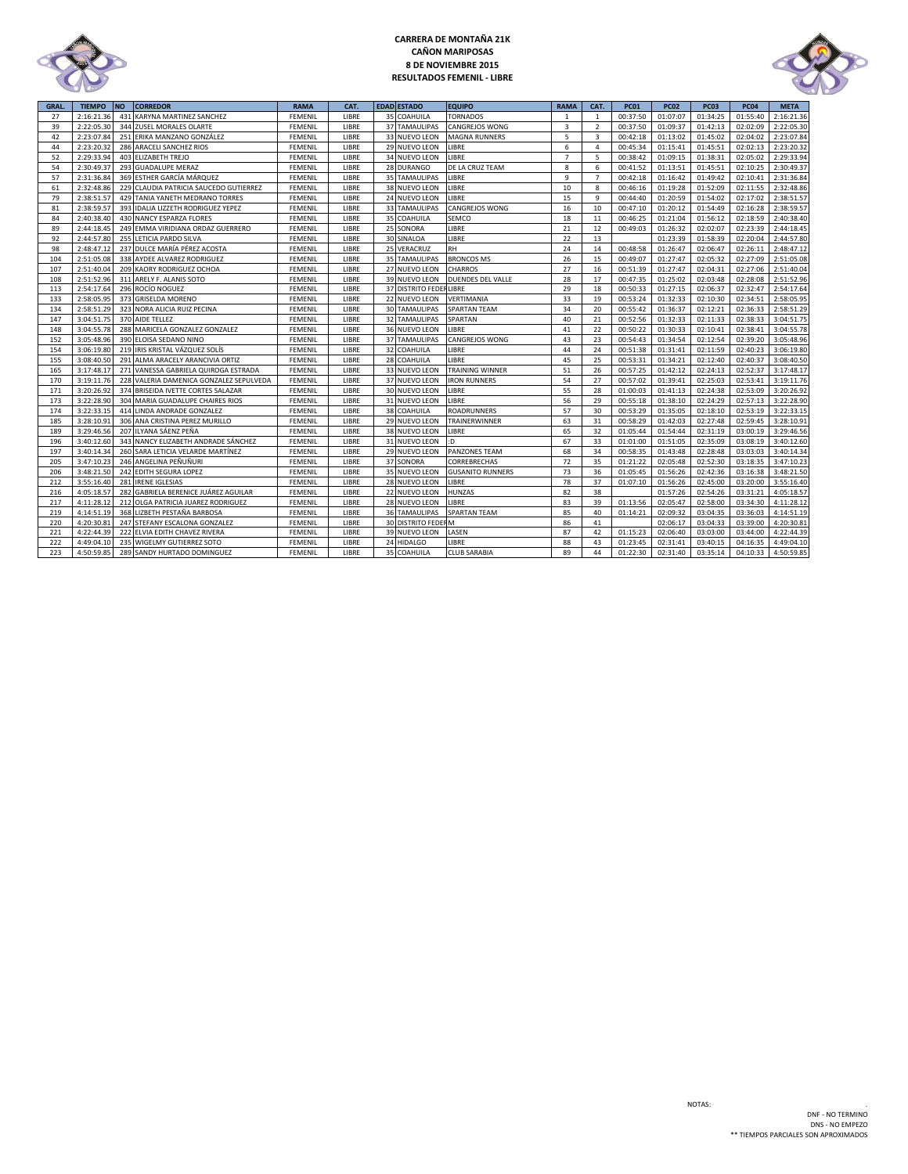

# **CARRERA DE MONTAÑA 21K CAÑON MARIPOSAS 8 DE NOVIEMBRE 2015 RESULTADOS FEMENIL - LIBRE**



| <b>GRAL</b> | <b>TIEMPO</b> | <b>NO</b> | <b>CORREDOR</b>                         | <b>RAMA</b>    | CAT.  |    | <b>EDAD ESTADO</b>     | <b>EQUIPO</b>            | <b>RAMA</b>    | CAT.           | <b>PC01</b> | <b>PC02</b> | <b>PC03</b> | <b>PC04</b> | <b>META</b> |
|-------------|---------------|-----------|-----------------------------------------|----------------|-------|----|------------------------|--------------------------|----------------|----------------|-------------|-------------|-------------|-------------|-------------|
| 27          | 2:16:21.36    | 431       | KARYNA MARTINEZ SANCHEZ                 | <b>FEMENIL</b> | LIBRE | 35 | COAHUILA               | <b>TORNADOS</b>          | 1              | 1              | 00:37:50    | 01:07:07    | 01:34:25    | 01:55:40    | 2:16:21.36  |
| 39          | 2:22:05.30    |           | 344 ZUSEL MORALES OLARTE                | FEMENIL        | LIBRE |    | <b>37 TAMAULIPAS</b>   | CANGREJOS WONG           | $\mathbf{3}$   | $\overline{2}$ | 00:37:50    | 01:09:37    | 01:42:13    | 02:02:09    | 2:22:05.30  |
| 42          | 2:23:07.84    |           | 251 ERIKA MANZANO GONZÁLEZ              | <b>FEMENIL</b> | LIBRE |    | 33 NUEVO LEON          | <b>MAGNA RUNNERS</b>     | 5              | $\overline{3}$ | 00:42:18    | 01:13:02    | 01:45:02    | 02:04:02    | 2:23:07.84  |
| 44          | 2:23:20.32    |           | 286 ARACELI SANCHEZ RIOS                | FEMENIL        | LIBRE |    | 29 NUEVO LEON          | LIBRE                    | 6              | $\overline{4}$ | 00:45:34    | 01:15:41    | 01:45:51    | 02:02:13    | 2:23:20.32  |
| 52          | 2:29:33.94    |           | 403 ELIZABETH TREJO                     | FEMENIL        | LIBRE |    | 34 NUEVO LEON          | LIBRE                    | $\overline{7}$ | 5              | 00:38:42    | 01:09:15    | 01:38:31    | 02:05:02    | 2:29:33.94  |
| 54          | 2:30:49.37    |           | 293 GUADALUPE MERAZ                     | FEMENIL        | LIBRE |    | 28 DURANGO             | DE LA CRUZ TEAM          | 8              | 6              | 00:41:52    | 01:13:51    | 01:45:51    | 02:10:25    | 2:30:49.37  |
| 57          | 2:31:36.84    |           | 369 ESTHER GARCÍA MÁRQUEZ               | <b>FEMENIL</b> | LIBRE |    | 35 TAMAULIPAS          | LIBRE                    | 9              | $\overline{7}$ | 00:42:18    | 01:16:42    | 01:49:42    | 02:10:41    | 2:31:36.84  |
| 61          | 2:32:48.86    |           | 229 CLAUDIA PATRICIA SAUCEDO GUTIERREZ  | FEMENIL        | LIBRE |    | 38 NUEVO LEON          | <b>LIBRE</b>             | 10             | 8              | 00:46:16    | 01:19:28    | 01:52:09    | 02:11:55    | 2:32:48.86  |
| 79          | 2:38:51.57    |           | 429 TANIA YANETH MEDRANO TORRES         | FEMENIL        | LIBRE |    | 24 NUEVO LEON          | LIBRE                    | 15             | 9              | 00:44:40    | 01:20:59    | 01:54:02    | 02:17:02    | 2:38:51.57  |
| 81          | 2:38:59.57    |           | 393 IDALIA LIZZETH RODRIGUEZ YEPEZ      | FEMENIL        | LIBRE |    | <b>33 TAMAULIPAS</b>   | CANGREJOS WONG           | 16             | 10             | 00:47:10    | 01:20:12    | 01:54:49    | 02:16:28    | 2:38:59.57  |
| 84          | 2:40:38.40    |           | 430 NANCY ESPARZA FLORES                | FEMENIL        | LIBRE |    | 35 COAHUILA            | SEMCO                    | 18             | 11             | 00:46:25    | 01:21:04    | 01:56:12    | 02:18:59    | 2:40:38.40  |
| 89          | 2:44:18.45    |           | 249 EMMA VIRIDIANA ORDAZ GUERRERO       | <b>FEMENIL</b> | LIBRE |    | 25 SONORA              | LIBRE                    | 21             | 12             | 00:49:03    | 01:26:32    | 02:02:07    | 02:23:39    | 2:44:18.45  |
| 92          | 2:44:57.80    |           | 255 LETICIA PARDO SILVA                 | FEMENIL        | LIBRE |    | 30 SINALOA             | LIBRE                    | 22             | 13             |             | 01:23:39    | 01:58:39    | 02:20:04    | 2:44:57.80  |
| 98          | 2:48:47.12    |           | 237 DULCE MARÍA PÉREZ ACOSTA            | FEMENIL        | LIBRE |    | 25 VERACRUZ            | <b>RH</b>                | 24             | 14             | 00:48:58    | 01:26:47    | 02:06:47    | 02:26:11    | 2:48:47.12  |
| 104         | 2:51:05.08    |           | 338 AYDEE ALVAREZ RODRIGUEZ             | FEMENIL        | LIBRE |    | 35 TAMAULIPAS          | <b>BRONCOS MS</b>        | 26             | 15             | 00:49:07    | 01:27:47    | 02:05:32    | 02:27:09    | 2:51:05.08  |
| 107         | 2:51:40.04    |           | 209 KAORY RODRIGUEZ OCHOA               | FEMENIL        | LIBRE |    | 27 NUEVO LEON          | CHARROS                  | 27             | 16             | 00:51:39    | 01:27:47    | 02:04:31    | 02:27:06    | 2:51:40.04  |
| 108         | 2:51:52.96    |           | 311 ARELY F. ALANIS SOTO                | <b>FEMENIL</b> | LIBRE |    | 39 NUEVO LEON          | <b>DUENDES DEL VALLE</b> | 28             | 17             | 00:47:35    | 01:25:02    | 02:03:48    | 02:28:08    | 2:51:52.96  |
| 113         | 2:54:17.64    |           | 296 ROCÍO NOGUEZ                        | FEMENIL        | LIBRE |    | 37 DISTRITO FEDERLIBRE |                          | 29             | 18             | 00:50:33    | 01:27:15    | 02:06:37    | 02:32:47    | 2:54:17.64  |
| 133         | 2:58:05.95    |           | 373 GRISELDA MORENO                     | <b>FEMENIL</b> | LIBRE |    | 22 NUEVO LEON          | VERTIMANIA               | 33             | 19             | 00:53:24    | 01:32:33    | 02:10:30    | 02:34:51    | 2:58:05.95  |
| 134         | 2:58:51.29    |           | 323 NORA ALICIA RUIZ PECINA             | FEMENIL        | LIBRE |    | <b>30 TAMAULIPAS</b>   | <b>SPARTAN TEAM</b>      | 34             | 20             | 00:55:42    | 01:36:37    | 02:12:21    | 02:36:33    | 2:58:51.29  |
| 147         | 3:04:51.75    |           | 370 AIDE TELLEZ                         | FEMENIL        | LIBRE |    | 32 TAMAULIPAS          | SPARTAN                  | 40             | 21             | 00:52:56    | 01:32:33    | 02:11:33    | 02:38:33    | 3:04:51.75  |
| 148         | 3:04:55.78    |           | 288 MARICELA GONZALEZ GONZALEZ          | <b>FEMENIL</b> | LIBRE |    | 36 NUEVO LEON          | LIBRE                    | 41             | 22             | 00:50:22    | 01:30:33    | 02:10:41    | 02:38:41    | 3:04:55.78  |
| 152         | 3:05:48.96    |           | 390 ELOISA SEDANO NINO                  | FEMENIL        | LIBRE |    | 37 TAMAULIPAS          | CANGREJOS WONG           | 43             | 23             | 00:54:43    | 01:34:54    | 02:12:54    | 02:39:20    | 3:05:48.96  |
| 154         | 3:06:19.80    |           | 219 IRIS KRISTAL VÁZQUEZ SOLÍS          | <b>FEMENIL</b> | LIBRE |    | 32 COAHUILA            | LIBRE                    | 44             | 24             | 00:51:38    | 01:31:41    | 02:11:59    | 02:40:23    | 3:06:19.80  |
| 155         | 3:08:40.50    | 291       | ALMA ARACELY ARANCIVIA ORTIZ            | FEMENIL        | LIBRE |    | 28 COAHUILA            | LIBRE                    | 45             | 25             | 00:53:31    | 01:34:21    | 02:12:40    | 02:40:37    | 3:08:40.50  |
| 165         | 3:17:48.17    |           | 271 VANESSA GABRIELA QUIROGA ESTRADA    | FEMENIL        | LIBRE |    | 33 NUEVO LEON          | <b>TRAINING WINNER</b>   | 51             | 26             | 00:57:25    | 01:42:12    | 02:24:13    | 02:52:37    | 3:17:48.17  |
| 170         | 3:19:11.76    |           | 228 VALERIA DAMENICA GONZALEZ SEPULVEDA | FEMENIL        | LIBRE |    | 37 NUEVO LEON          | <b>IRON RUNNERS</b>      | 54             | 27             | 00:57:02    | 01:39:41    | 02:25:03    | 02:53:41    | 3:19:11.76  |
| 171         | 3:20:26.92    |           | 374 BRISEIDA IVETTE CORTES SALAZAR      | FEMENIL        | LIBRE |    | 30 NUEVO LEON          | LIBRE                    | 55             | 28             | 01:00:03    | 01:41:13    | 02:24:38    | 02:53:09    | 3:20:26.92  |
| 173         | 3:22:28.90    |           | 304 MARIA GUADALUPE CHAIRES RIOS        | FEMENIL        | LIBRE |    | 31 NUEVO LEON          | LIBRE                    | 56             | 29             | 00:55:18    | 01:38:10    | 02:24:29    | 02:57:13    | 3:22:28.90  |
| 174         | 3:22:33.15    |           | 414 LINDA ANDRADE GONZALEZ              | FEMENIL        | LIBRE |    | 38 COAHUILA            | <b>ROADRUNNERS</b>       | 57             | 30             | 00:53:29    | 01:35:05    | 02:18:10    | 02:53:19    | 3:22:33.15  |
| 185         | 3:28:10.91    |           | 306 ANA CRISTINA PEREZ MURILLO          | FEMENIL        | LIBRE |    | 29 NUEVO LEON          | TRAINERWINNER            | 63             | 31             | 00:58:29    | 01:42:03    | 02:27:48    | 02:59:45    | 3:28:10.91  |
| 189         | 3:29:46.56    |           | 207 ILYANA SÁENZ PEÑA                   | FEMENIL        | LIBRE |    | 38 NUEVO LEON          | <b>LIBRE</b>             | 65             | 32             | 01:05:44    | 01:54:44    | 02:31:19    | 03:00:19    | 3:29:46.56  |
| 196         | 3:40:12.60    |           | 343 NANCY ELIZABETH ANDRADE SÁNCHEZ     | FEMENIL        | LIBRE |    | 31 NUEVO LEON          | :D                       | 67             | 33             | 01:01:00    | 01:51:05    | 02:35:09    | 03:08:19    | 3:40:12.60  |
| 197         | 3:40:14.34    |           | 260 SARA LETICIA VELARDE MARTÍNEZ       | <b>FEMENIL</b> | LIBRE |    | 29 NUEVO LEON          | PANZONES TEAM            | 68             | 34             | 00:58:35    | 01:43:48    | 02:28:48    | 03:03:03    | 3:40:14.34  |
| 205         | 3:47:10.23    |           | 246 ANGELINA PEÑUÑURI                   | FEMENIL        | LIBRE |    | 37 SONORA              | CORREBRECHAS             | 72             | 35             | 01:21:22    | 02:05:48    | 02:52:30    | 03:18:35    | 3:47:10.23  |
| 206         | 3:48:21.50    |           | 242 EDITH SEGURA LOPEZ                  | FEMENIL        | LIBRE |    | 35 NUEVO LEON          | <b>GUSANITO RUNNERS</b>  | 73             | 36             | 01:05:45    | 01:56:26    | 02:42:36    | 03:16:38    | 3:48:21.50  |
| 212         | 3:55:16.40    | 281       | <b>IRENE IGLESIAS</b>                   | FEMENIL        | LIBRE |    | 28 NUEVO LEON          | LIBRE                    | 78             | 37             | 01:07:10    | 01:56:26    | 02:45:00    | 03:20:00    | 3:55:16.40  |
| 216         | 4:05:18.57    |           | 282 GABRIELA BERENICE JUÁREZ AGUILAR    | FEMENIL        | LIBRE |    | 22 NUEVO LEON          | HUNZAS                   | 82             | 38             |             | 01:57:26    | 02:54:26    | 03:31:21    | 4:05:18.57  |
| 217         | 4:11:28.12    |           | 212 OLGA PATRICIA JUAREZ RODRIGUEZ      | FEMENIL        | LIBRE |    | 28 NUEVO LEON          | LIBRE                    | 83             | 39             | 01:13:56    | 02:05:47    | 02:58:00    | 03:34:30    | 4:11:28.12  |
| 219         | 4:14:51.19    |           | 368 LIZBETH PESTAÑA BARBOSA             | FEMENIL        | LIBRE |    | <b>36 TAMAULIPAS</b>   | <b>SPARTAN TEAM</b>      | 85             | 40             | 01:14:21    | 02:09:32    | 03:04:35    | 03:36:03    | 4:14:51.19  |
| 220         | 4:20:30.81    |           | 247 STEFANY ESCALONA GONZALEZ           | FEMENIL        | LIBRE |    | 30 DISTRITO FEDER M    |                          | 86             | 41             |             | 02:06:17    | 03:04:33    | 03:39:00    | 4:20:30.81  |
| 221         | 4:22:44.39    |           | 222 ELVIA EDITH CHAVEZ RIVERA           | FEMENIL        | LIBRE |    | 39 NUEVO LEON          | LASEN                    | 87             | 42             | 01:15:23    | 02:06:40    | 03:03:00    | 03:44:00    | 4:22:44.39  |
| 222         | 4:49:04.10    |           | 235 WIGELMY GUTIERREZ SOTO              | FEMENIL        | LIBRE |    | 24 HIDALGO             | LIBRE                    | 88             | 43             | 01:23:45    | 02:31:41    | 03:40:15    | 04:16:35    | 4:49:04.10  |
| 223         | 4:50:59.85    |           | 289 SANDY HURTADO DOMINGUEZ             | <b>FEMENIL</b> | LIBRE |    | 35 COAHUILA            | <b>CLUB SARABIA</b>      | 89             | 44             | 01:22:30    | 02:31:40    | 03:35:14    | 04:10:33    | 4:50:59.85  |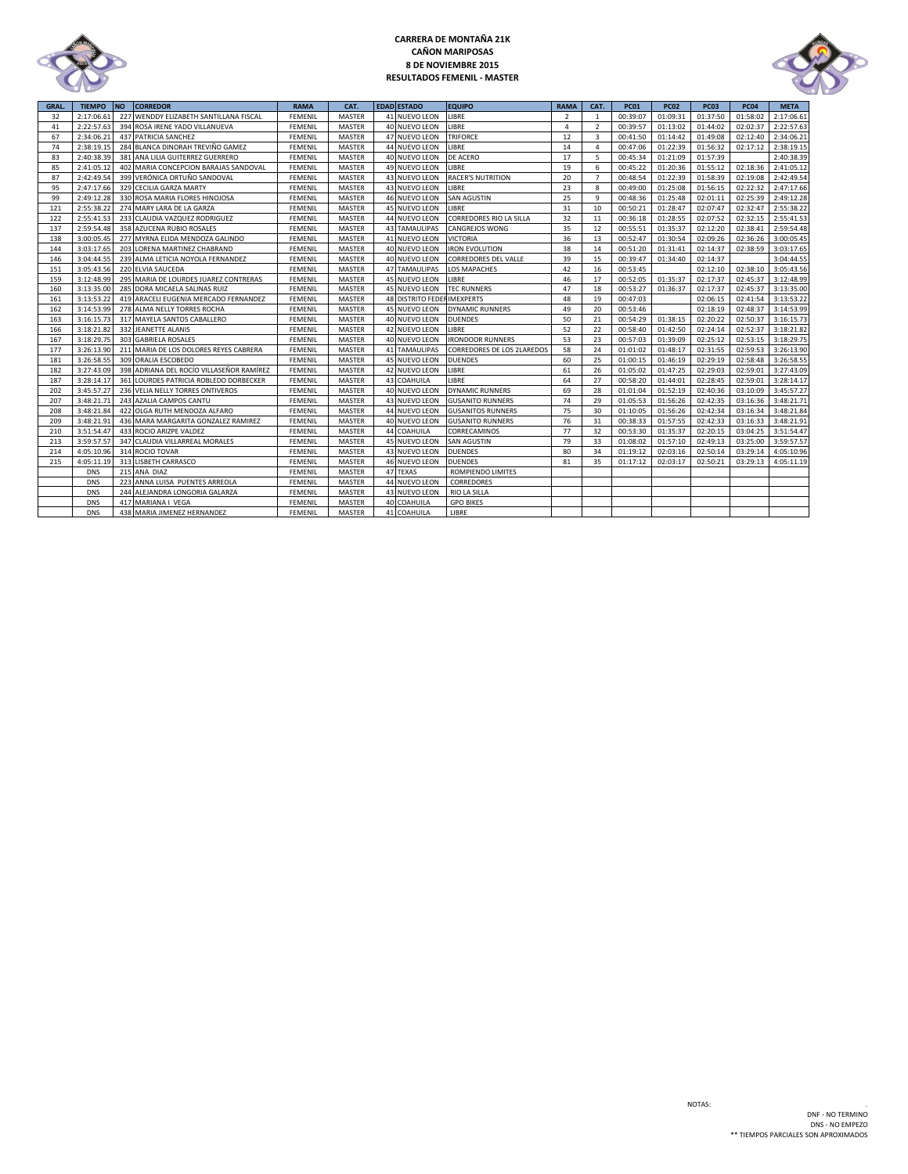

# **CARRERA DE MONTAÑA 21K CAÑON MARIPOSAS 8 DE NOVIEMBRE 2015 RESULTADOS FEMENIL - MASTER**



| GRAL. | <b>TIEMPO</b> | <b>NO</b> | <b>CORREDOR</b>                          | <b>RAMA</b>    | CAT.          | <b>EDAD ESTADO</b>          | <b>EQUIPO</b>               | <b>RAMA</b>    | CAT.           | <b>PC01</b> | <b>PC02</b> | <b>PC03</b> | <b>PC04</b> | <b>META</b> |
|-------|---------------|-----------|------------------------------------------|----------------|---------------|-----------------------------|-----------------------------|----------------|----------------|-------------|-------------|-------------|-------------|-------------|
| 32    | 2:17:06.61    |           | 227 WENDDY ELIZABETH SANTILLANA FISCAL   | <b>FEMENIL</b> | <b>MASTER</b> | 41 NUEVO LEON               | LIBRE                       | $\overline{2}$ | 1              | 00:39:07    | 01:09:31    | 01:37:50    | 01:58:02    | 2:17:06.61  |
| 41    | 2:22:57.63    |           | 394 ROSA IRENE YADO VILLANUEVA           | FEMENIL        | MASTER        | 40 NUEVO LEON               | LIBRE                       | 4              | $\overline{2}$ | 00:39:57    | 01:13:02    | 01:44:02    | 02:02:37    | 2:22:57.63  |
| 67    | 2:34:06.21    |           | 437 PATRICIA SANCHEZ                     | <b>FEMENIL</b> | <b>MASTER</b> | 47 NUEVO LEON               | <b>TRIFORCE</b>             | 12             | 3              | 00:41:50    | 01:14:42    | 01:49:08    | 02:12:40    | 2:34:06.21  |
| 74    | 2:38:19.15    |           | 284 BLANCA DINORAH TREVIÑO GAMEZ         | FEMENIL        | <b>MASTER</b> | 44 NUEVO LEON               | LIBRE                       | 14             | 4              | 00:47:06    | 01:22:39    | 01:56:32    | 02:17:12    | 2:38:19.15  |
| 83    | 2:40:38.39    |           | 381 ANA LILIA GUITERREZ GUERRERO         | FEMENIL        | MASTER        | 40 NUEVO LEON               | DE ACERO                    | 17             | 5              | 00:45:34    | 01:21:09    | 01:57:39    |             | 2:40:38.39  |
| 85    | 2:41:05.12    |           | 402 MARIA CONCEPCION BARAJAS SANDOVAL    | <b>FEMENIL</b> | MASTER        | 49 NUEVO LEON               | LIBRE                       | 19             | 6              | 00:45:22    | 01:20:36    | 01:55:12    | 02:18:36    | 2:41:05.12  |
| 87    | 2:42:49.54    |           | 399 VERÓNICA ORTUÑO SANDOVAL             | FEMENIL        | MASTER        | 43 NUEVO LEON               | <b>RACER'S NUTRITION</b>    | 20             | $\overline{7}$ | 00:48:54    | 01:22:39    | 01:58:39    | 02:19:08    | 2:42:49.54  |
| 95    | 2:47:17.66    |           | 329 CECILIA GARZA MARTY                  | FEMENIL        | MASTER        | 43 NUEVO LEON               | LIBRE                       | 23             | 8              | 00:49:00    | 01:25:08    | 01:56:15    | 02:22:32    | 2:47:17.66  |
| 99    | 2:49:12.28    |           | 330 ROSA MARIA FLORES HINOJOSA           | <b>FEMENIL</b> | MASTER        | 46 NUEVO LEON               | <b>SAN AGUSTIN</b>          | 25             | 9              | 00:48:36    | 01:25:48    | 02:01:11    | 02:25:39    | 2:49:12.28  |
| 121   | 2:55:38.22    |           | 274 MARY LARA DE LA GARZA                | FEMENIL        | <b>MASTER</b> | 45 NUEVO LEON               | LIBRE                       | 31             | 10             | 00:50:21    | 01:28:47    | 02:07:47    | 02:32:47    | 2:55:38.22  |
| 122   | 2:55:41.53    |           | 233 CLAUDIA VAZQUEZ RODRIGUEZ            | <b>FEMENIL</b> | <b>MASTER</b> | 44 NUEVO LEON               | CORREDORES RIO LA SILLA     | 32             | 11             | 00:36:18    | 01:28:55    | 02:07:52    | 02:32:15    | 2:55:41.53  |
| 137   | 2:59:54.48    |           | 358 AZUCENA RUBIO ROSALES                | <b>FEMENIL</b> | MASTER        | <b>43 TAMAULIPAS</b>        | CANGREJOS WONG              | 35             | 12             | 00:55:51    | 01:35:37    | 02:12:20    | 02:38:41    | 2:59:54.48  |
| 138   | 3:00:05.45    |           | 277 MYRNA ELIDA MENDOZA GALINDO          | FEMENIL        | MASTER        | 41 NUEVO LEON               | <b>VICTORIA</b>             | 36             | 13             | 00:52:47    | 01:30:54    | 02:09:26    | 02:36:26    | 3:00:05.45  |
| 144   | 3:03:17.65    |           | 203 LORENA MARTINEZ CHABRAND             | <b>FEMENIL</b> | <b>MASTER</b> | 40 NUEVO LEON               | <b>IRON EVOLUTION</b>       | 38             | 14             | 00:51:20    | 01:31:41    | 02:14:37    | 02:38:59    | 3:03:17.65  |
| 146   | 3:04:44.55    |           | 239 ALMA LETICIA NOYOLA FERNANDEZ        | <b>FEMENIL</b> | <b>MASTER</b> | 40 NUEVO LEON               | <b>CORREDORES DEL VALLE</b> | 39             | 15             | 00:39:47    | 01:34:40    | 02:14:37    |             | 3:04:44.55  |
| 151   | 3:05:43.56    |           | 220 ELVIA SAUCEDA                        | FEMENIL        | <b>MASTER</b> | 47 TAMAULIPAS               | <b>LOS MAPACHES</b>         | 42             | 16             | 00:53:45    |             | 02:12:10    | 02:38:10    | 3:05:43.56  |
| 159   | 3:12:48.99    |           | 295 MARIA DE LOURDES JUAREZ CONTRERAS    | FEMENII        | <b>MASTER</b> | 45 NUEVO LEON               | LIBRE                       | 46             | 17             | 00:52:05    | 01:35:37    | 02:17:37    | 02:45:37    | 3:12:48.99  |
| 160   | 3:13:35.00    |           | 285 DORA MICAELA SALINAS RUIZ            | <b>FEMENIL</b> | <b>MASTER</b> | 45 NUEVO LEON               | <b>TEC RUNNERS</b>          | 47             | 18             | 00:53:27    | 01:36:37    | 02:17:37    | 02:45:37    | 3:13:35.00  |
| 161   | 3:13:53.22    |           | 419 ARACELI EUGENIA MERCADO FERNANDEZ    | FEMENIL        | MASTER        | 48 DISTRITO FEDER IMEXPERTS |                             | 48             | 19             | 00:47:03    |             | 02:06:15    | 02:41:54    | 3:13:53.22  |
| 162   | 3:14:53.99    |           | 278 ALMA NELLY TORRES ROCHA              | <b>FEMENIL</b> | MASTER        | 45 NUEVO LEON               | <b>DYNAMIC RUNNERS</b>      | 49             | 20             | 00:53:46    |             | 02:18:19    | 02:48:37    | 3:14:53.99  |
| 163   | 3:16:15.73    |           | 317 MAYELA SANTOS CABALLERO              | <b>FEMENIL</b> | <b>MASTER</b> | 40 NUEVO LEON               | <b>DUENDES</b>              | 50             | 21             | 00:54:29    | 01:38:15    | 02:20:22    | 02:50:37    | 3:16:15.73  |
| 166   | 3:18:21.82    |           | 332 JEANETTE ALANIS                      | FEMENIL        | MASTER        | 42 NUEVO LEON               | LIBRE                       | 52             | 22             | 00:58:40    | 01:42:50    | 02:24:14    | 02:52:37    | 3:18:21.82  |
| 167   | 3:18:29.75    |           | 303 GABRIELA ROSALES                     | FEMENIL        | MASTER        | 40 NUEVO LEON               | <b>IRONDOOR RUNNERS</b>     | 53             | 23             | 00:57:03    | 01:39:09    | 02:25:12    | 02:53:15    | 3:18:29.75  |
| 177   | 3:26:13.90    |           | 211 MARIA DE LOS DOLORES REYES CABRERA   | FEMENIL        | MASTER        | <b>41 TAMAULIPAS</b>        | CORREDORES DE LOS 2LAREDOS  | 58             | 24             | 01:01:02    | 01:48:17    | 02:31:55    | 02:59:53    | 3:26:13.90  |
| 181   | 3:26:58.55    |           | 309 ORALIA ESCOBEDO                      | <b>FEMENIL</b> | <b>MASTER</b> | 45 NUEVO LEON               | <b>DUENDES</b>              | 60             | 25             | 01:00:15    | 01:46:19    | 02:29:19    | 02:58:48    | 3:26:58.55  |
| 182   | 3:27:43.09    |           | 398 ADRIANA DEL ROCÍO VILLASEÑOR RAMÍREZ | <b>FEMENIL</b> | <b>MASTER</b> | 42 NUEVO LEON               | LIBRE                       | 61             | 26             | 01:05:02    | 01:47:25    | 02:29:03    | 02:59:01    | 3:27:43.09  |
| 187   | 3:28:14.17    |           | 361 LOURDES PATRICIA ROBLEDO DORBECKER   | FEMENIL        | MASTER        | 43 COAHUILA                 | LIBRE                       | 64             | 27             | 00:58:20    | 01:44:01    | 02:28:45    | 02:59:01    | 3:28:14.17  |
| 202   | 3:45:57.27    |           | 236 VELIA NELLY TORRES ONTIVEROS         | FEMENIL        | MASTER        | 40 NUEVO LEON               | <b>DYNAMIC RUNNERS</b>      | 69             | 28             | 01:01:04    | 01:52:19    | 02:40:36    | 03:10:09    | 3:45:57.27  |
| 207   | 3:48:21.71    |           | 243 AZALIA CAMPOS CANTU                  | <b>FEMENIL</b> | MASTER        | 43 NUEVO LEON               | <b>GUSANITO RUNNERS</b>     | 74             | 29             | 01:05:53    | 01:56:26    | 02:42:35    | 03:16:36    | 3:48:21.71  |
| 208   | 3:48:21.84    |           | 422 OLGA RUTH MENDOZA ALFARO             | <b>FEMENIL</b> | MASTER        | 44 NUEVO LEON               | <b>GUSANITOS RUNNERS</b>    | 75             | 30             | 01:10:05    | 01:56:26    | 02:42:34    | 03:16:34    | 3:48:21.84  |
| 209   | 3:48:21.91    |           | 436 MARA MARGARITA GONZALEZ RAMIREZ      | FEMENIL        | MASTER        | 40 NUEVO LEON               | <b>GUSANITO RUNNERS</b>     | 76             | 31             | 00:38:33    | 01:57:55    | 02:42:33    | 03:16:33    | 3:48:21.91  |
| 210   | 3:51:54.47    |           | 433 ROCIO ARIZPE VALDEZ                  | <b>FEMENIL</b> | MASTER        | 44 COAHUILA                 | CORRECAMINOS                | 77             | 32             | 00:53:30    | 01:35:37    | 02:20:15    | 03:04:25    | 3:51:54.47  |
| 213   | 3:59:57.57    |           | 347 CLAUDIA VILLARREAL MORALES           | FEMENIL        | <b>MASTER</b> | 45 NUEVO LEON               | <b>SAN AGUSTIN</b>          | 79             | 33             | 01:08:02    | 01:57:10    | 02:49:13    | 03:25:00    | 3:59:57.57  |
| 214   | 4:05:10.96    |           | 314 ROCIO TOVAR                          | FEMENIL        | <b>MASTER</b> | 43 NUEVO LEON               | <b>DUENDES</b>              | 80             | 34             | 01:19:12    | 02:03:16    | 02:50:14    | 03:29:14    | 4:05:10.96  |
| 215   | 4:05:11.19    |           | 313 LISBETH CARRASCO                     | FEMENIL        | MASTER        | 46 NUEVO LEON               | <b>DUENDES</b>              | 81             | 35             | 01:17:12    | 02:03:17    | 02:50:21    | 03:29:13    | 4:05:11.19  |
|       | <b>DNS</b>    |           | 215 ANA DIAZ                             | <b>FEMENIL</b> | <b>MASTER</b> | 47 TEXAS                    | ROMPIENDO LIMITES           |                |                |             |             |             |             |             |
|       | <b>DNS</b>    |           | 223 ANNA LUISA PUENTES ARREOLA           | <b>FEMENIL</b> | MASTER        | 44 NUEVO LEON               | CORREDORES                  |                |                |             |             |             |             |             |
|       | <b>DNS</b>    |           | 244 ALEJANDRA LONGORIA GALARZA           | FEMENIL        | MASTER        | 43 NUEVO LEON               | RIO LA SILLA                |                |                |             |             |             |             |             |
|       | <b>DNS</b>    |           | 417 MARIANA I VEGA                       | FEMENIL        | MASTER        | 40 COAHUILA                 | <b>GPO BIKES</b>            |                |                |             |             |             |             |             |
|       | <b>DNS</b>    |           | 438 MARIA JIMENEZ HERNANDEZ              | <b>FEMENIL</b> | MASTER        | 41 COAHUILA                 | LIBRE                       |                |                |             |             |             |             |             |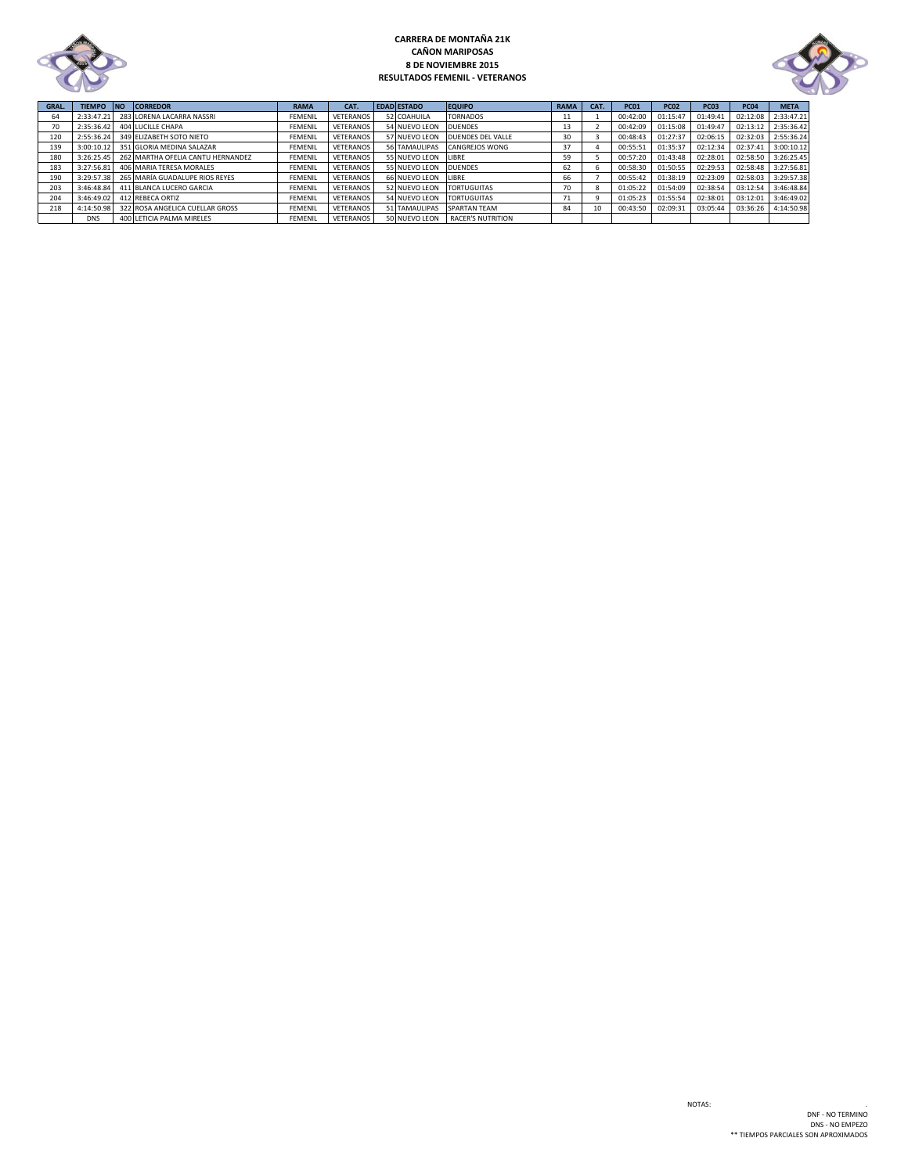

# **CARRERA DE MONTAÑA 21K CAÑON MARIPOSAS 8 DE NOVIEMBRE 2015 RESULTADOS FEMENIL - VETERANOS**



| GRAL. | TIEMPO NO  | <b>CORREDOR</b>                              | <b>RAMA</b>    | CAT.      | <b>EDAD ESTADO</b> | <b>EQUIPO</b>            | <b>RAMA</b> | CAT. | <b>PC01</b> | <b>PC02</b> | <b>PC03</b> | <b>PC04</b> | <b>META</b>         |
|-------|------------|----------------------------------------------|----------------|-----------|--------------------|--------------------------|-------------|------|-------------|-------------|-------------|-------------|---------------------|
| 64    | 2:33:47.21 | 283 LORENA LACARRA NASSRI                    | <b>FEMENIL</b> | VETERANOS | 52 COAHUILA        | <b>TORNADOS</b>          |             |      | 00:42:00    | 01:15:47    | 01:49:41    | 02:12:08    | 2:33:47.21          |
|       |            | 2:35:36.42 404 LUCILLE CHAPA                 | <b>FEMENIL</b> | VETERANOS | 54 NUEVO LEON      | <b>DUENDES</b>           |             |      | 00:42:09    | 01:15:08    | 01:49:47    | 02:13:12    | 2:35:36.42          |
| 120   |            | 2:55:36.24 349 ELIZABETH SOTO NIETO          | <b>FEMENIL</b> | VETERANOS | 57 NUEVO LEON      | DUENDES DEL VALLE        | 30          |      | 00:48:43    | 01:27:37    | 02:06:15    | 02:32:03    | 2:55:36.24          |
| 139   |            | 3:00:10.12 351 GLORIA MEDINA SALAZAR         | <b>FEMENIL</b> | VETERANOS | 56 TAMAULIPAS      | <b>CANGREJOS WONG</b>    | 37          |      | 00:55:51    | 01:35:37    | 02:12:34    | 02:37:41    | 3:00:10.12          |
| 180   |            | 3:26:25.45 262 MARTHA OFELIA CANTU HERNANDEZ | <b>FEMENIL</b> | VETERANOS | 55 NUEVO LEON      | LIBRE                    | 59          |      | 00:57:20    | 01:43:48    | 02:28:01    | 02:58:50    | 3:26:25.45          |
| 183   | 3:27:56.81 | 406 MARIA TERESA MORALES                     | <b>FEMENIL</b> | VETERANOS | 55 NUEVO LEON      | <b>DUENDES</b>           | 62          |      | 00:58:30    | 01:50:55    | 02:29:53    |             | 02:58:48 3:27:56.81 |
| 190   |            | 3:29:57.38 265 MARÍA GUADALUPE RIOS REYES    | <b>FEMENIL</b> | VETERANOS | 66 NUEVO LEON      | LIBRE                    | 66          |      | 00:55:42    | 01:38:19    | 02:23:09    |             | 02:58:03 3:29:57.38 |
| 203   |            | 3:46:48.84 411 BLANCA LUCERO GARCIA          | <b>FEMENIL</b> | VETERANOS | 52 NUEVO LEON      | <b>TORTUGUITAS</b>       | 70          |      | 01:05:22    | 01:54:09    | 02:38:54    | 03:12:54    | 3:46:48.84          |
| 204   |            | 3:46:49.02 412 REBECA ORTIZ                  | <b>FEMENIL</b> | VETERANOS | 54 NUEVO LEON      | <b>TORTUGUITAS</b>       |             |      | 01:05:23    | 01:55:54    | 02:38:01    | 03:12:01    | 3:46:49.02          |
| 218   |            | 4:14:50.98 322 ROSA ANGELICA CUELLAR GROSS   | <b>FEMENIL</b> | VETERANOS | 51 TAMAULIPAS      | <b>SPARTAN TEAM</b>      | 84          | 10   | 00:43:50    | 02:09:31    | 03:05:44    |             | 03:36:26 4:14:50.98 |
|       | <b>DNS</b> | 400 LETICIA PALMA MIRELES                    | <b>FEMENIL</b> | VETERANOS | 50 NUEVO LEON      | <b>RACER'S NUTRITION</b> |             |      |             |             |             |             |                     |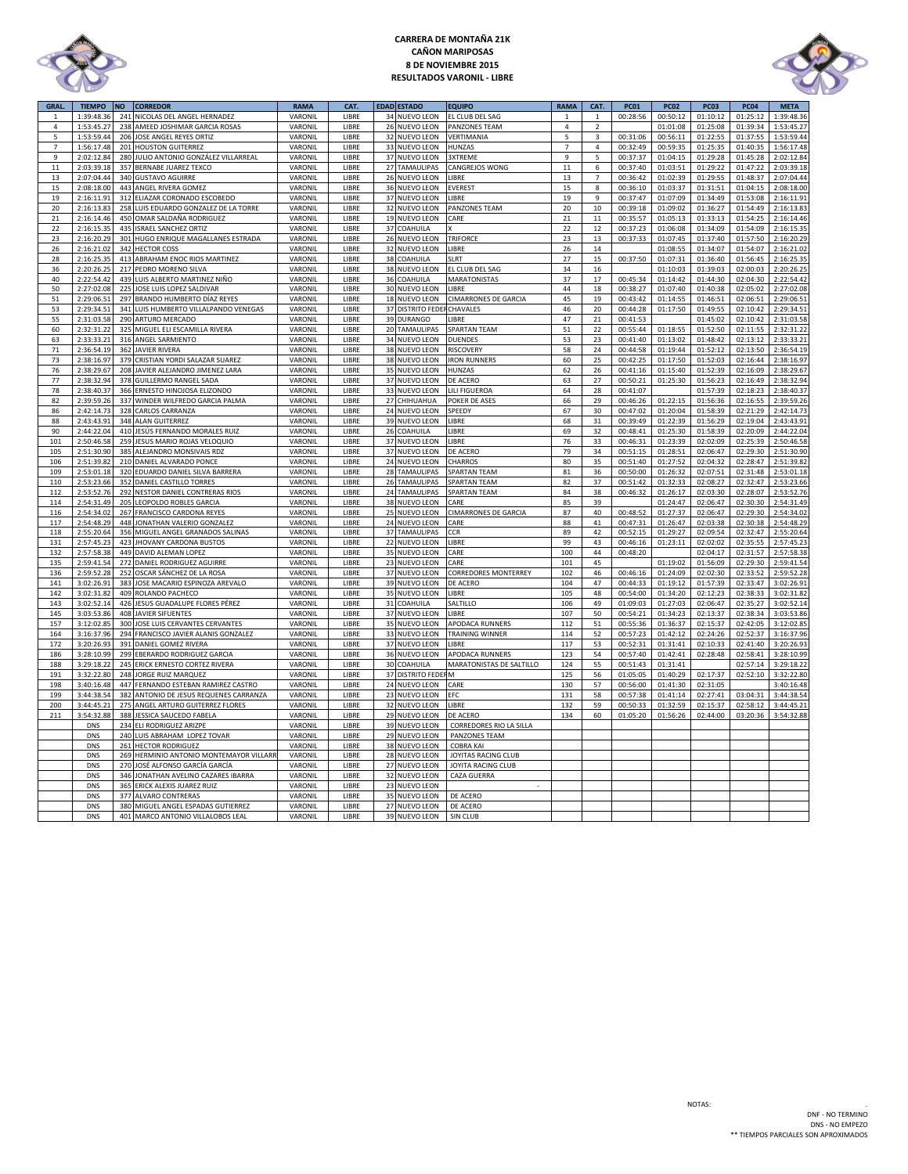

# **CARRERA DE MONTAÑA 21K CAÑON MARIPOSAS 8 DE NOVIEMBRE 2015 RESULTADOS VARONIL - LIBRE**



| GRAL.            | <b>TIEMPO</b>            | <b>NO</b>  | <b>CORREDOR</b>                                         | <b>RAMA</b>        | CAT.           |          | EDAD ESTADO                        | <b>EQUIPO</b>                           | <b>RAMA</b>    | CAT.                    | <b>PC01</b>          | <b>PC02</b>          | <b>PC03</b>          | <b>PC04</b>          | <b>META</b>              |
|------------------|--------------------------|------------|---------------------------------------------------------|--------------------|----------------|----------|------------------------------------|-----------------------------------------|----------------|-------------------------|----------------------|----------------------|----------------------|----------------------|--------------------------|
| $\mathbf{1}$     | 1:39:48.36               |            | 241 NICOLAS DEL ANGEL HERNADEZ                          | VARONIL            | LIBRE          | 34       | NUEVO LEON                         | EL CLUB DEL SAG                         | $\mathbf 1$    | $\mathbf{1}$            | 00:28:56             | 00:50:12             | 01:10:12             | 01:25:12             | 1:39:48.36               |
| 4                | 1:53:45.27               |            | 238 AMEED JOSHIMAR GARCIA ROSAS                         | VARONIL            | LIBRE          | 26       | <b>NUEVO LEON</b>                  | PANZONES TEAM                           | $\overline{4}$ | $\overline{2}$          |                      | 01:01:08             | 01:25:08             | 01:39:34             | 1:53:45.27               |
| $\overline{5}$   | 1:53:59.44               |            | 206 JOSE ANGEL REYES ORTIZ                              | VARONIL            | LIBRE          |          | 32 NUEVO LEON                      | VERTIMANIA                              | 5              | $\overline{\mathbf{3}}$ | 00:31:06             | 00:56:11             | 01:22:55             | 01:37:55             | 1:53:59.44               |
| $\overline{7}$   | 1:56:17.48               | 201        | <b>HOUSTON GUITERREZ</b>                                | VARONIL            | LIBRE          | 33       | <b>NUEVO LEON</b>                  | HUNZAS                                  | $\overline{7}$ | $\overline{4}$          | 00:32:49             | 00:59:35             | 01:25:35             | 01:40:35             | 1:56:17.48               |
| $\boldsymbol{9}$ | 2:02:12.84               | 280        | JULIO ANTONIO GONZÁLEZ VILLARREAL                       | VARONIL            | LIBRE          | 37       | NUEVO LEON                         | 3XTREME                                 | 9              | 5                       | 00:37:37             | 01:04:15             | 01:29:28             | 01:45:28             | 2:02:12.84               |
| $11\,$           | 2:03:39.18               | 357        | BERNABE JUAREZ TEXCO                                    | VARONIL            | LIBRE          | 27       | TAMAULIPAS                         | CANGREJOS WONG                          | $11\,$         | 6                       | 00:37:40             | 01:03:51             | 01:29:22             | 01:47:22             | 2:03:39.18               |
| 13               | 2:07:04.44               | 340        | <b>GUSTAVO AGUIRRE</b>                                  | VARONIL            | LIBRE          | 26       | NUEVO LEON                         | LIBRE                                   | 13             | $\overline{7}$          | 00:36:42             | 01:02:39             | 01:29:55             | 01:48:37             | 2:07:04.44               |
| 15               | 2:08:18.00               | 443        | ANGEL RIVERA GOMEZ                                      | VARONIL            | LIBRE          | 36       | <b>NUEVO LEON</b>                  | EVEREST                                 | 15             | 8                       | 00:36:10             | 01:03:37             | 01:31:51             | 01:04:15             | 2:08:18.00               |
| 19               | 2:16:11.91               | 312        | ELIAZAR CORONADO ESCOBEDO                               | VARONIL            | LIBRE          | 37       | <b>NUEVO LEON</b>                  | LIBRE                                   | 19             | 9                       | 00:37:47             | 01:07:09             | 01:34:49             | 01:53:08             | 2:16:11.91               |
| 20               | 2:16:13.83               | 258        | LUIS EDUARDO GONZALEZ DE LA TORRE                       | VARONIL            | LIBRE          | 32       | NUEVO LEON                         | PANZONES TEAM                           | 20             | $10\,$                  | 00:39:18             | 01:09:02             | 01:36:27             | 01:54:49             | 2:16:13.83               |
| 21               | 2:16:14.46               |            | 450 OMAR SALDAÑA RODRIGUEZ                              | VARONIL            | LIBRE          | 19       | NUEVO LEON                         | CARE                                    | $21\,$         | $11\,$                  | 00:35:57             | 01:05:13             | 01:33:13             | 01:54:25             | 2:16:14.46               |
| 22               | 2:16:15.3                | 435        | <b>ISRAEL SANCHEZ ORTIZ</b>                             | VARONIL            | LIBRE          | 37       | COAHUILA                           |                                         | 22             | 12                      | 00:37:23             | 01:06:08             | 01:34:09             | 01:54:09             | 2:16:15.35               |
| 23<br>26         | 2:16:20.29<br>2:16:21.02 | 301<br>342 | HUGO ENRIQUE MAGALLANES ESTRADA                         | VARONIL<br>VARONIL | LIBRE<br>LIBRE | 32       | 26 NUEVO LEON<br><b>NUEVO LEON</b> | <b>TRIFORCE</b><br>LIBRE                | 23<br>26       | 13<br>14                | 00:37:33             | 01:07:45<br>01:08:55 | 01:37:40<br>01:34:07 | 01:57:50<br>01:54:07 | 2:16:20.29<br>2:16:21.02 |
| 28               | 2:16:25.35               | 413        | <b>HECTOR COSS</b>                                      | VARONIL            | LIBRE          | 38       |                                    | SLRT                                    | 27             |                         | 00:37:50             |                      |                      |                      |                          |
| 36               | 2:20:26.2                | 217        | ABRAHAM ENOC RIOS MARTINEZ<br>PEDRO MORENO SILVA        | VARONIL            | LIBRE          |          | COAHUILA                           | EL CLUB DEL SAG                         | 34             | 15                      |                      | 01:07:31             | 01:36:40<br>01:39:03 | 01:56:45<br>02:00:03 | 2:16:25.35<br>2:20:26.25 |
| 40               | 2:22:54.42               |            | 439 LUIS ALBERTO MARTINEZ NIÑO                          | VARONIL            | LIBRE          | 38<br>36 | NUEVO LEON<br>COAHUILA             | <b>MARATONISTAS</b>                     | 37             | 16<br>17                | 00:45:34             | 01:10:03<br>01:14:42 | 01:44:30             | 02:04:30             | 2:22:54.42               |
| 50               | 2:27:02.08               | 225        | JOSE LUIS LOPEZ SALDIVAR                                | VARONIL            | LIBRE          |          | 30 NUEVO LEON                      | LIBRE                                   | 44             | 18                      | 00:38:27             | 01:07:40             | 01:40:38             | 02:05:02             | 2:27:02.08               |
| 51               | 2:29:06.51               | 297        | BRANDO HUMBERTO DÍAZ REYES                              | VARONIL            | LIBRE          |          | 18 NUEVO LEON                      | <b>CIMARRONES DE GARCIA</b>             | 45             | 19                      | 00:43:42             | 01:14:55             | 01:46:51             | 02:06:51             | 2:29:06.51               |
| 53               | 2:29:34.51               | 341        | LUIS HUMBERTO VILLALPANDO VENEGAS                       | VARONIL            | LIBRE          | 37       | <b>DISTRITO FEDE</b>               | CHAVALES                                | 46             | 20                      | 00:44:28             | 01:17:50             | 01:49:55             | 02:10:42             | 2:29:34.51               |
| 55               | 2:31:03.58               |            | 290 ARTURO MERCADO                                      | VARONIL            | LIBRE          |          | 39 DURANGO                         | <b>IBRE</b>                             | 47             | 21                      | 00:41:53             |                      | 01:45:02             | 02:10:42             | 2:31:03.58               |
| 60               | 2:32:31.22               | 325        | MIGUEL ELI ESCAMILLA RIVERA                             | VARONIL            | LIBRE          | 20       | <b>TAMAULIPAS</b>                  | <b>SPARTAN TEAM</b>                     | 51             | 22                      | 00:55:44             | 01:18:55             | 01:52:50             | 02:11:55             | 2:32:31.22               |
| 63               | 2:33:33.2                | 316        | ANGEL SARMIENTO                                         | VARONIL            | LIBRE          | 34       | <b>NUEVO LEON</b>                  | <b>DUENDES</b>                          | 53             | 23                      | 00:41:40             | 01:13:02             | 01:48:42             | 02:13:12             | 2:33:33.23               |
| $71\,$           | 2:36:54.19               | 362        | <b>AVIER RIVERA</b>                                     | VARONIL            | LIBRE          | 38       | <b>NUEVO LEON</b>                  | RISCOVERY                               | 58             | 24                      | 00:44:58             | 01:19:44             | 01:52:12             | 02:13:50             | 2:36:54.19               |
| 73               | 2:38:16.97               | 379        | CRISTIAN YORDI SALAZAR SUAREZ                           | VARONIL            | LIBRE          | 38       | NUEVO LEON                         | <b>IRON RUNNERS</b>                     | 60             | 25                      | 00:42:25             | 01:17:50             | 01:52:03             | 02:16:44             | 2:38:16.97               |
| 76               | 2:38:29.67               | 208        | JAVIER ALEJANDRO JIMENEZ LARA                           | VARONIL            | LIBRE          | 35       | NUEVO LEON                         | HUNZAS                                  | 62             | 26                      | 00:41:16             | 01:15:40             | 01:52:39             | 02:16:09             | 2:38:29.67               |
| 77               | 2:38:32.94               | 378        | GUILLERMO RANGEL SADA                                   | VARONIL            | LIBRE          | 37       | <b>NUEVO LEON</b>                  | DE ACERO                                | 63             | 27                      | 00:50:21             | 01:25:30             | 01:56:23             | 02:16:49             | 2:38:32.94               |
| 78               | 2:38:40.37               | 366        | ERNESTO HINOJOSA ELIZONDO                               | VARONIL            | LIBRE          | 33       | NUEVO LEON                         | LILI FIGUEROA                           | 64             | 28                      | 00:41:07             |                      | 01:57:39             | 02:18:23             | 2:38:40.37               |
| 82               | 2:39:59.26               |            | 337 WINDER WILFREDO GARCIA PALMA                        | VARONIL            | LIBRE          | 27       | CHIHUAHUA                          | POKER DE ASES                           | 66             | 29                      | 00:46:26             | 01:22:15             | 01:56:36             | 02:16:55             | 2:39:59.26               |
| 86               | 2:42:14.73               |            | 328 CARLOS CARRANZA                                     | VARONIL            | LIBRE          | 24       | <b>NUEVO LEON</b>                  | SPEEDY                                  | 67             | 30                      | 00:47:02             | 01:20:04             | 01:58:39             | 02:21:29             | 2:42:14.73               |
| 88               | 2:43:43.91               |            | 348 ALAN GUITERREZ                                      | VARONIL            | LIBRE          |          | 39 NUEVO LEON                      | LIBRE                                   | 68             | 31                      | 00:39:49             | 01:22:39             | 01:56:29             | 02:19:04             | 2:43:43.91               |
| 90               | 2:44:22.04               |            | 410 JESÚS FERNANDO MORALES RUIZ                         | VARONIL            | LIBRE          | 26       | COAHUILA                           | <b>IBRE</b>                             | 69             | 32                      | 00:48:41             | 01:25:30             | 01:58:39             | 02:20:09             | 2:44:22.04               |
| 101              | 2:50:46.58               | 259        | JESUS MARIO ROJAS VELOQUIO                              | VARONIL            | LIBRE          | 37       | NUEVO LEON                         | <b>IBRE</b>                             | 76             | 33                      | 00:46:31             | 01:23:39             | 02:02:09             | 02:25:39             | 2:50:46.58               |
| 105              | 2:51:30.90               |            | 385 ALEJANDRO MONSIVAIS RDZ                             | VARONIL            | LIBRE          | 37       | <b>NUEVO LEON</b>                  | DE ACERO                                | 79             | 34                      | 00:51:15             | 01:28:51             | 02:06:47             | 02:29:30             | 2:51:30.90               |
| 106              | 2:51:39.82               |            | 210 DANIEL ALVARADO PONCE                               | VARONIL            | LIBRE          |          | 24 NUEVO LEON                      | <b>CHARROS</b>                          | 80             | 35                      | 00:51:40             | 01:27:52             | 02:04:32             | 02:28:47             | 2:51:39.82               |
| 109              | 2:53:01.18               |            | 320 EDUARDO DANIEL SILVA BARRERA                        | VARONIL            | LIBRE          | 28       | TAMAULIPAS                         | <b>SPARTAN TEAM</b>                     | 81             | 36                      | 00:50:00             | 01:26:32             | 02:07:51             | 02:31:48             | 2:53:01.18               |
| 110              | 2:53:23.66               |            | 352 DANIEL CASTILLO TORRES                              | VARONIL            | LIBRE          | 26       | <b>TAMAULIPAS</b>                  | <b>SPARTAN TEAM</b>                     | 82             | 37                      | 00:51:42             | 01:32:33             | 02:08:27             | 02:32:47             | 2:53:23.66               |
| 112              | 2:53:52.76               | 292        | NESTOR DANIEL CONTRERAS RIOS                            | VARONIL            | LIBRE          | 24       | TAMAULIPAS                         | SPARTAN TEAM                            | 84             | 38                      | 00:46:32             | 01:26:17             | 02:03:30             | 02:28:07             | 2:53:52.76               |
| 114              | 2:54:31.49               | 205        | LEOPOLDO ROBLES GARCIA                                  | VARONIL            | LIBRE          | 38       | NUEVO LEON                         | CARE                                    | 85             | 39                      |                      | 01:24:47             | 02:06:47             | 02:30:30             | 2:54:31.49               |
| 116              | 2:54:34.02               | 267        | <b>FRANCISCO CARDONA REYES</b>                          | VARONIL            | LIBRE          | 25       | <b>NUEVO LEON</b>                  | <b>CIMARRONES DE GARCIA</b>             | 87             | 40                      | 00:48:52             | 01:27:37             | 02:06:47             | 02:29:30             | 2:54:34.02               |
| 117              | 2:54:48.29               | 448        | JONATHAN VALERIO GONZALEZ                               | VARONIL            | LIBRE          | 24       | <b>NUEVO LEON</b>                  | CARE                                    | 88             | 41                      | 00:47:31             | 01:26:47             | 02:03:38             | 02:30:38             | 2:54:48.29               |
| 118              | 2:55:20.64               | 356        | MIGUEL ANGEL GRANADOS SALINAS                           | VARONIL            | LIBRE          | 37       | <b>TAMAULIPAS</b>                  | <b>CCR</b>                              | 89             | 42                      | 00:52:15             | 01:29:27             | 02:09:54             | 02:32:47             | 2:55:20.64               |
| 131              | 2:57:45.23               | 423        | <b>IHOVANY CARDONA BUSTOS</b>                           | VARONIL            | LIBRE          | 22       | NUEVO LEON                         | LIBRE                                   | 99             | 43                      | 00:46:16             | 01:23:11             | 02:02:02             | 02:35:55             | 2:57:45.23               |
| 132              | 2:57:58.38               | 449        | DAVID ALEMAN LOPEZ                                      | VARONIL            | LIBRE          | 35       | NUEVO LEON                         | CARE                                    | 100            | 44                      | 00:48:20             |                      | 02:04:17             | 02:31:57             | 2:57:58.38               |
| 135              | 2:59:41.54               | 272        | DANIEL RODRIGUEZ AGUIRRE                                | VARONIL            | LIBRE          | 23       | <b>NUEVO LEON</b>                  | CARF                                    | 101            | 45                      |                      | 01:19:02             | 01:56:09             | 02:29:30             | 2:59:41.54               |
| 136              | 2:59:52.28               | 252        | OSCAR SÁNCHEZ DE LA ROSA                                | VARONIL<br>VARONIL | LIBRE<br>LIBRE | 37       | NUEVO LEON                         | <b>CORREDORES MONTERREY</b><br>DE ACERO | 102<br>104     | 46                      | 00:46:16             | 01:24:09             | 02:02:30             | 02:33:52             | 2:59:52.28               |
| 141<br>142       | 3:02:26.91               | 383<br>409 | JOSE MACARIO ESPINOZA AREVALO<br>ROLANDO PACHECO        | VARONIL            | LIBRE          | 39       | NUEVO LEON                         | LIBRE                                   | 105            | 47<br>48                | 00:44:33             | 01:19:12             | 01:57:39             | 02:33:47             | 3:02:26.91<br>3:02:31.82 |
| 143              | 3:02:31.82               | 426        |                                                         | VARONIL            | LIBRE          | 35<br>31 | NUEVO LEON<br>COAHUILA             | SALTILLO                                | 106            | 49                      | 00:54:00             | 01:34:20<br>01:27:03 | 02:12:23             | 02:38:33             |                          |
| 145              | 3:02:52.14<br>3:03:53.86 | 408        | JESUS GUADALUPE FLORES PÉREZ<br><b>JAVIER SIFUENTES</b> | VARONIL            | LIBRE          | 37       | <b>NUEVO LEON</b>                  | LIBRE                                   | 107            | 50                      | 01:09:03<br>00:54:21 | 01:34:23             | 02:06:47<br>02:13:37 | 02:35:27<br>02:38:34 | 3:02:52.14<br>3:03:53.86 |
| 157              | 3:12:02.85               | 300        | JOSE LUIS CERVANTES CERVANTES                           | VARONIL            | LIBRE          | 35       | <b>NUEVO LEON</b>                  | APODACA RUNNERS                         | 112            | 51                      | 00:55:36             | 01:36:37             | 02:15:37             | 02:42:05             | 3:12:02.85               |
| 164              | 3:16:37.96               | 294        | FRANCISCO JAVIER ALANIS GONZALEZ                        | VARONIL            | LIBRE          | 33       | <b>NUEVO LEON</b>                  | TRAINING WINNER                         | 114            | 52                      | 00:57:23             | 01:42:12             | 02:24:26             | 02:52:37             | 3:16:37.96               |
| 172              | 3:20:26.93               | 391        | DANIEL GOMEZ RIVERA                                     | VARONIL            | LIBRE          |          | 37 NUEVO LEON                      | LIBRE                                   | 117            | 53                      | 00:52:31             | 01:31:41             | 02:10:33             | 02:41:40             | 3:20:26.93               |
| 186              | 3:28:10.99               |            | 299 EBERARDO RODRIGUEZ GARCIA                           | VARONIL            | LIBRE          | 36       | <b>NUEVO LEON</b>                  | APODACA RUNNERS                         | 123            | 54                      | 00:57:40             | 01:42:41             | 02:28:48             | 02:58:41             | 3:28:10.99               |
| 188              | 3:29:18.22               | 245        | ERICK ERNESTO CORTEZ RIVERA                             | VARONIL            | LIBRE          | 30       | COAHUILA                           | MARATONISTAS DE SALTILLO                | 124            | 55                      | 00:51:43             | 01:31:41             |                      | 02:57:14             | 3:29:18.22               |
| 191              | 3:32:22.80               |            | 248 JORGE RUIZ MARQUEZ                                  | VARONIL            | LIBRE          | 37       | <b>DISTRITO FEDE</b>               | м                                       | 125            | 56                      | 01:05:05             | 01:40:29             | 02:17:37             | 02:52:10             | 3:32:22.80               |
| 198              | 3:40:16.48               |            | 447 FERNANDO ESTEBAN RAMIREZ CASTRO                     | VARONIL            | LIBRE          |          | 24 NUEVO LEON                      | CARE                                    | 130            | 57                      | 00:56:00             | 01:41:30             | 02:31:05             |                      | 3:40:16.48               |
| 199              | 3:44:38.54               | 382        | ANTONIO DE JESUS REQUENES CARRANZA                      | VARONIL            | LIBRE          | 23       | <b>NUEVO LEON</b>                  | EFC                                     | 131            | 58                      | 00:57:38             | 01:41:14             | 02:27:41             | 03:04:31             | 3:44:38.54               |
| 200              | 3:44:45.2                | 275        | ANGEL ARTURO GUITERREZ FLORES                           | VARONIL            | LIBRE          |          | 32 NUEVO LEON                      | LIBRE                                   | 132            | 59                      | 00:50:33             | 01:32:59             | 02:15:37             | 02:58:12             | 3:44:45.23               |
| 211              | 3:54:32.88               | 388        | JESSICA SAUCEDO FABELA                                  | VARONIL            | LIBRE          |          | 29 NUEVO LEON                      | DE ACERO                                | 134            | 60                      | 01:05:20             | 01:56:26             | 02:44:00             | 03:20:36             | 3:54:32.88               |
|                  | <b>DNS</b>               | 234        | ELI RODRIGUEZ ARIZPE                                    | VARONIL            | LIBRE          | 39       | <b>NUEVO LEON</b>                  | CORREDORES RIO LA SILLA                 |                |                         |                      |                      |                      |                      |                          |
|                  | <b>DNS</b>               | 240        | LUIS ABRAHAM LOPEZ TOVAR                                | VARONIL            | LIBRE          | 29       | <b>NUEVO LEON</b>                  | PANZONES TEAM                           |                |                         |                      |                      |                      |                      |                          |
|                  | <b>DNS</b>               | 261        | <b>HECTOR RODRIGUEZ</b>                                 | VARONIL            | LIBRE          | 38       | <b>NUEVO LEON</b>                  | <b>COBRA KAI</b>                        |                |                         |                      |                      |                      |                      |                          |
|                  | <b>DNS</b>               | 269        | HERMINIO ANTONIO MONTEMAYOR VILLARI                     | VARONIL            | LIBRE          | 28       | NUEVO LEON                         | JOYITAS RACING CLUB                     |                |                         |                      |                      |                      |                      |                          |
|                  | <b>DNS</b>               | 270        | JOSÉ ALFONSO GARCÍA GARCÍA                              | VARONIL            | LIBRE          | 27       | <b>NUEVO LEON</b>                  | JOYITA RACING CLUB                      |                |                         |                      |                      |                      |                      |                          |
|                  | <b>DNS</b>               | 346        | JONATHAN AVELINO CAZARES IBARRA                         | VARONIL            | LIBRE          | 32       | NUEVO LEON                         | CAZA GUERRA                             |                |                         |                      |                      |                      |                      |                          |
|                  | <b>DNS</b>               | 365        | ERICK ALEXIS JUAREZ RUIZ                                | VARONIL            | LIBRE          |          | 23 NUEVO LEON                      |                                         |                |                         |                      |                      |                      |                      |                          |
|                  | <b>DNS</b>               |            | 377 ALVARO CONTRERAS                                    | VARONIL            | LIBRE          |          | 35 NUEVO LEON                      | DE ACERO                                |                |                         |                      |                      |                      |                      |                          |
|                  | <b>DNS</b>               |            | 380 MIGUEL ANGEL ESPADAS GUTIERREZ                      | VARONIL            | LIBRE          |          | 27 NUEVO LEON                      | DE ACERO                                |                |                         |                      |                      |                      |                      |                          |
|                  | <b>DNS</b>               |            | 401 MARCO ANTONIO VILLALOBOS LEAL                       | VARONIL            | LIBRE          |          | 39 NUEVO LEON                      | <b>SIN CLUB</b>                         |                |                         |                      |                      |                      |                      |                          |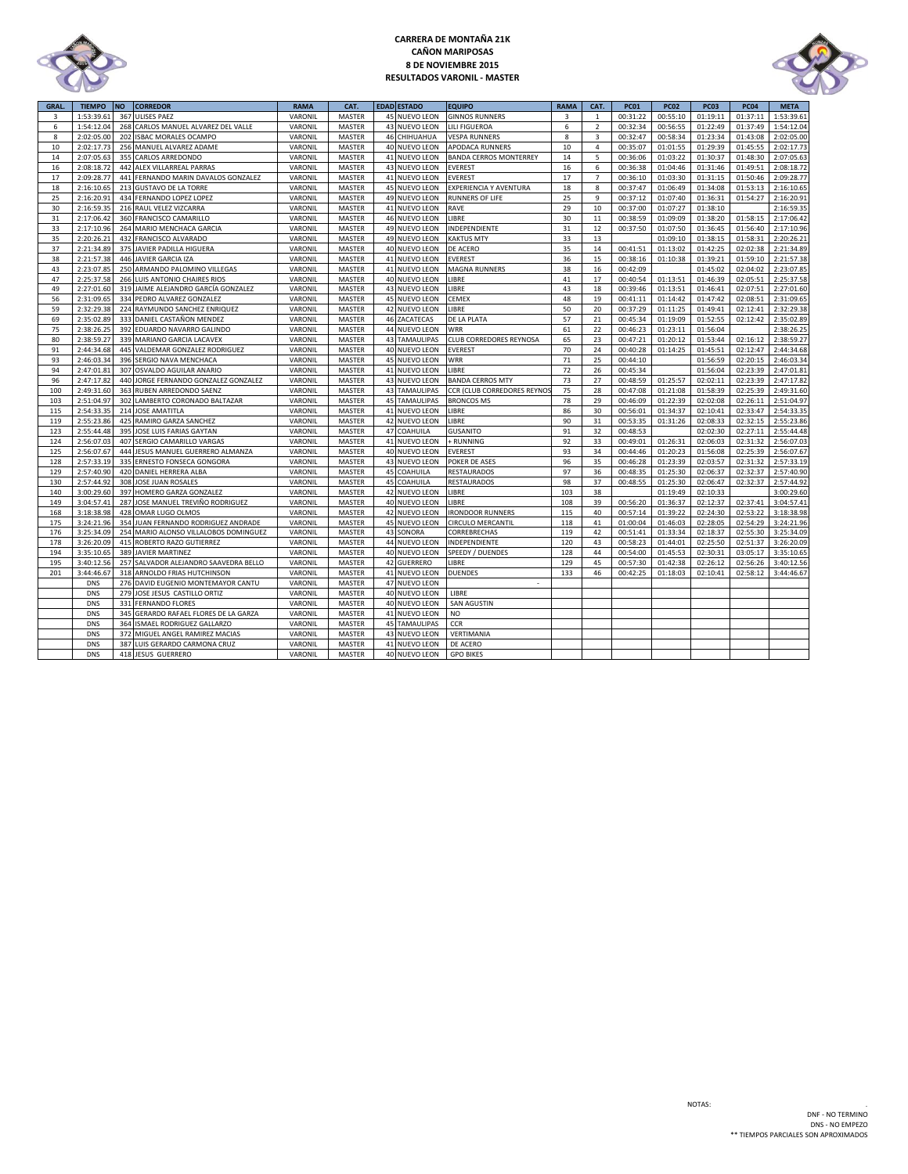

# **CARRERA DE MONTAÑA 21K CAÑON MARIPOSAS 8 DE NOVIEMBRE 2015 RESULTADOS VARONIL - MASTER**



| <b>GRAL</b> | <b>TIEMPO</b> | <b>NO</b> | <b>CORREDOR</b>                       | <b>RAMA</b> | CAT.          | <b>EDAD ESTADO</b>   | <b>EQUIPO</b>                 | <b>RAMA</b> | CAT.           | <b>PC01</b> | <b>PC02</b> | <b>PC03</b> | <b>PC04</b> | <b>META</b> |
|-------------|---------------|-----------|---------------------------------------|-------------|---------------|----------------------|-------------------------------|-------------|----------------|-------------|-------------|-------------|-------------|-------------|
| 3           | 1:53:39.61    | 367       | <b>ULISES PAEZ</b>                    | VARONIL     | <b>MASTER</b> | 45 NUEVO LEON        | <b>GINNOS RUNNERS</b>         | 3           | $\mathbf{1}$   | 00:31:22    | 00:55:10    | 01:19:11    | 01:37:11    | 1:53:39.61  |
| 6           | 1:54:12.04    |           | 268 CARLOS MANUEL ALVAREZ DEL VALLE   | VARONIL     | MASTER        | 43 NUEVO LEON        | <b>LILI FIGUEROA</b>          | 6           | $\overline{2}$ | 00:32:34    | 00:56:55    | 01:22:49    | 01:37:49    | 1:54:12.04  |
| 8           | 2:02:05.00    | 202       | <b>ISBAC MORALES OCAMPO</b>           | VARONIL     | MASTER        | 46 CHIHUAHUA         | <b>VESPA RUNNERS</b>          | 8           | 3              | 00:32:47    | 00:58:34    | 01:23:34    | 01:43:08    | 2:02:05.00  |
| 10          | 2:02:17.73    |           | 256 MANUEL ALVAREZ ADAME              | VARONIL     | <b>MASTER</b> | 40 NUEVO LEON        | <b>APODACA RUNNERS</b>        | 10          | $\overline{4}$ | 00:35:07    | 01:01:55    | 01:29:39    | 01:45:55    | 2:02:17.73  |
| 14          | 2:07:05.63    |           | 355 CARLOS ARREDONDO                  | VARONIL     | MASTER        | 41 NUEVO LEON        | <b>BANDA CERROS MONTERREY</b> | 14          | 5              | 00:36:06    | 01:03:22    | 01:30:37    | 01:48:30    | 2:07:05.63  |
| 16          | 2:08:18.72    |           | 442 ALEX VILLARREAL PARRAS            | VARONIL     | <b>MASTER</b> | 43 NUEVO LEON        | <b>EVEREST</b>                | 16          | 6              | 00:36:38    | 01:04:46    | 01:31:46    | 01:49:51    | 2:08:18.72  |
| 17          | 2:09:28.77    |           | 441 FERNANDO MARIN DAVALOS GONZALEZ   | VARONIL     | <b>MASTER</b> | 41 NUEVO LEON        | <b>EVEREST</b>                | 17          | $\overline{7}$ | 00:36:10    | 01:03:30    | 01:31:15    | 01:50:46    | 2:09:28.77  |
| 18          | 2:16:10.65    |           | 213 GUSTAVO DE LA TORRE               | VARONIL     | <b>MASTER</b> | 45 NUEVO LEON        | EXPERIENCIA Y AVENTURA        | 18          | 8              | 00:37:47    | 01:06:49    | 01:34:08    | 01:53:13    | 2:16:10.65  |
| 25          | 2:16:20.91    |           | 434 FERNANDO LOPEZ LOPEZ              | VARONIL     | <b>MASTER</b> | 49 NUEVO LEON        | <b>RUNNERS OF LIFE</b>        | 25          | 9              | 00:37:12    | 01:07:40    | 01:36:31    | 01:54:27    | 2:16:20.91  |
| 30          | 2:16:59.35    |           | 216 RAUL VELEZ VIZCARRA               | VARONIL     | <b>MASTER</b> | 41 NUEVO LEON        | RAVE                          | 29          | 10             | 00:37:00    | 01:07:27    | 01:38:10    |             | 2:16:59.35  |
| 31          | 2:17:06.42    |           | 360 FRANCISCO CAMARILLO               | VARONIL     | MASTER        | 46 NUEVO LEON        | LIBRE                         | 30          | 11             | 00:38:59    | 01:09:09    | 01:38:20    | 01:58:15    | 2:17:06.42  |
| 33          | 2:17:10.96    |           | 264 MARIO MENCHACA GARCIA             | VARONIL     | <b>MASTER</b> | 49 NUEVO LEON        | INDEPENDIENTE                 | 31          | 12             | 00:37:50    | 01:07:50    | 01:36:45    | 01:56:40    | 2:17:10.96  |
| 35          | 2:20:26.21    |           | 432 FRANCISCO ALVARADO                | VARONIL     | <b>MASTER</b> | 49 NUEVO LEON        | <b>KAKTUS MTY</b>             | 33          | 13             |             | 01:09:10    | 01:38:15    | 01:58:31    | 2:20:26.21  |
| 37          | 2:21:34.89    |           | 375 JAVIER PADILLA HIGUERA            | VARONIL     | MASTER        | 40 NUEVO LEON        | DE ACERO                      | 35          | 14             | 00:41:51    | 01:13:02    | 01:42:25    | 02:02:38    | 2:21:34.89  |
| 38          | 2:21:57.38    |           | 446 JAVIER GARCIA IZA                 | VARONIL     | <b>MASTER</b> | 41 NUEVO LEON        | <b>EVEREST</b>                | 36          | 15             | 00:38:16    | 01:10:38    | 01:39:21    | 01:59:10    | 2:21:57.38  |
| 43          | 2:23:07.85    |           | 250 ARMANDO PALOMINO VILLEGAS         | VARONIL     | <b>MASTER</b> | 41 NUEVO LEON        | <b>MAGNA RUNNERS</b>          | 38          | 16             | 00:42:09    |             | 01:45:02    | 02:04:02    | 2:23:07.85  |
| 47          | 2:25:37.58    |           | 266 LUIS ANTONIO CHAIRES RIOS         | VARONIL     | <b>MASTER</b> | 40 NUEVO LEON        | LIBRE                         | 41          | 17             | 00:40:54    | 01:13:51    | 01:46:39    | 02:05:51    | 2:25:37.58  |
| 49          | 2:27:01.60    |           | 319 JAIME ALEJANDRO GARCÍA GONZALEZ   | VARONIL     | <b>MASTER</b> | 43 NUEVO LEON        | LIBRE                         | 43          | 18             | 00:39:46    | 01:13:51    | 01:46:41    | 02:07:51    | 2:27:01.60  |
| 56          | 2:31:09.65    |           | 334 PEDRO ALVAREZ GONZALEZ            | VARONIL     | <b>MASTER</b> | 45 NUEVO LEON        | CEMEX                         | 48          | 19             | 00:41:11    | 01:14:42    | 01:47:42    | 02:08:51    | 2:31:09.65  |
| 59          | 2:32:29.38    |           | 224 RAYMUNDO SANCHEZ ENRIQUEZ         | VARONIL     | <b>MASTER</b> | 42 NUEVO LEON        | LIBRE                         | 50          | 20             | 00:37:29    | 01:11:25    | 01:49:41    | 02:12:41    | 2:32:29.38  |
| 69          | 2:35:02.89    | 333       | DANIEL CASTAÑON MENDEZ                | VARONIL     | <b>MASTER</b> | 46 ZACATECAS         | DE LA PLATA                   | 57          | 21             | 00:45:34    | 01:19:09    | 01:52:55    | 02:12:42    | 2:35:02.89  |
| 75          | 2:38:26.25    |           | 392 EDUARDO NAVARRO GALINDO           | VARONIL     | MASTER        | 44 NUEVO LEON        | <b>WRR</b>                    | 61          | 22             | 00:46:23    | 01:23:11    | 01:56:04    |             | 2:38:26.25  |
| 80          | 2:38:59.27    |           | 339 MARIANO GARCIA LACAVEX            | VARONIL     | MASTER        | <b>43 TAMAULIPAS</b> | CLUB CORREDORES REYNOSA       | 65          | 23             | 00:47:21    | 01:20:12    | 01:53:44    | 02:16:12    | 2:38:59.27  |
| 91          | 2:44:34.68    |           | 445 VALDEMAR GONZALEZ RODRIGUEZ       | VARONIL     | <b>MASTER</b> | 40 NUEVO LEON        | <b>EVEREST</b>                | 70          | 24             | 00:40:28    | 01:14:25    | 01:45:51    | 02:12:47    | 2:44:34.68  |
| 93          | 2:46:03.34    |           | 396 SERGIO NAVA MENCHACA              | VARONIL     | <b>MASTER</b> | 45 NUEVO LEON        | <b>WRR</b>                    | 71          | 25             | 00:44:10    |             | 01:56:59    | 02:20:15    | 2:46:03.34  |
| 94          | 2:47:01.81    |           | 307 OSVALDO AGUILAR ANARIO            | VARONIL     | MASTER        | 41 NUEVO LEON        | LIBRE                         | 72          | 26             | 00:45:34    |             | 01:56:04    | 02:23:39    | 2:47:01.81  |
| 96          | 2:47:17.82    |           | 440 JORGE FERNANDO GONZALEZ GONZALEZ  | VARONIL     | <b>MASTER</b> | 43 NUEVO LEON        | <b>BANDA CERROS MTY</b>       | 73          | 27             | 00:48:59    | 01:25:57    | 02:02:11    | 02:23:39    | 2:47:17.82  |
| 100         | 2:49:31.60    | 363       | RUBEN ARREDONDO SAENZ                 | VARONIL     | MASTER        | <b>43 TAMAULIPAS</b> | CCR (CLUB CORREDORES REYNO)   | 75          | 28             | 00:47:08    | 01:21:08    | 01:58:39    | 02:25:39    | 2:49:31.60  |
| 103         | 2:51:04.97    |           | 302 LAMBERTO CORONADO BALTAZAR        | VARONIL     | <b>MASTER</b> | <b>45 TAMAULIPAS</b> | <b>BRONCOS MS</b>             | 78          | 29             | 00:46:09    | 01:22:39    | 02:02:08    | 02:26:11    | 2:51:04.97  |
| 115         | 2:54:33.35    |           | 214 JOSE AMATITLA                     | VARONIL     | MASTER        | 41 NUEVO LEON        | LIBRE                         | 86          | 30             | 00:56:01    | 01:34:37    | 02:10:41    | 02:33:47    | 2:54:33.35  |
| 119         | 2:55:23.86    |           | 425 RAMIRO GARZA SANCHEZ              | VARONIL     | <b>MASTER</b> | 42 NUEVO LEON        | LIBRE                         | 90          | 31             | 00:53:35    | 01:31:26    | 02:08:33    | 02:32:15    | 2:55:23.86  |
| 123         | 2:55:44.48    | 395       | JOSE LUIS FARIAS GAYTAN               | VARONIL     | <b>MASTER</b> | 47 COAHUILA          | <b>GUSANITO</b>               | 91          | 32             | 00:48:53    |             | 02:02:30    | 02:27:11    | 2:55:44.48  |
| 124         | 2:56:07.03    |           | 407 SERGIO CAMARILLO VARGAS           | VARONIL     | MASTER        | 41 NUEVO LEON        | + RUNNING                     | 92          | 33             | 00:49:01    | 01:26:31    | 02:06:03    | 02:31:32    | 2:56:07.03  |
| 125         | 2:56:07.67    | 444       | JESUS MANUEL GUERRERO ALMANZA         | VARONIL     | <b>MASTER</b> | 40 NUEVO LEON        | <b>EVEREST</b>                | 93          | 34             | 00:44:46    | 01:20:23    | 01:56:08    | 02:25:39    | 2:56:07.67  |
| 128         | 2:57:33.19    |           | 335 ERNESTO FONSECA GONGORA           | VARONIL     | <b>MASTER</b> | 43 NUEVO LEON        | POKER DE ASES                 | 96          | 35             | 00:46:28    | 01:23:39    | 02:03:57    | 02:31:32    | 2:57:33.19  |
| 129         | 2:57:40.90    |           | 420 DANIEL HERRERA ALBA               | VARONIL     | <b>MASTER</b> | 45 COAHUILA          | <b>RESTAURADOS</b>            | 97          | 36             | 00:48:35    | 01:25:30    | 02:06:37    | 02:32:37    | 2:57:40.90  |
| 130         | 2:57:44.92    | 308       | JOSE JUAN ROSALES                     | VARONIL     | MASTER        | 45 COAHUILA          | <b>RESTAURADOS</b>            | 98          | 37             | 00:48:55    | 01:25:30    | 02:06:47    | 02:32:37    | 2:57:44.92  |
| 140         | 3:00:29.60    |           | 397 HOMERO GARZA GONZALEZ             | VARONIL     | <b>MASTER</b> | 42 NUEVO LEON        | LIBRE                         | 103         | 38             |             | 01:19:49    | 02:10:33    |             | 3:00:29.60  |
| 149         | 3:04:57.41    | 287       | JOSE MANUEL TREVIÑO RODRIGUEZ         | VARONIL     | <b>MASTER</b> | 40 NUEVO LEON        | LIBRE                         | 108         | 39             | 00:56:20    | 01:36:37    | 02:12:37    | 02:37:41    | 3:04:57.41  |
| 168         | 3:18:38.98    | 428       | OMAR LUGO OLMOS                       | VARONIL     | <b>MASTER</b> | 42 NUEVO LEON        | <b>IRONDOOR RUNNERS</b>       | 115         | 40             | 00:57:14    | 01:39:22    | 02:24:30    | 02:53:22    | 3:18:38.98  |
| 175         | 3:24:21.96    |           | 354 JUAN FERNANDO RODRIGUEZ ANDRADE   | VARONIL     | <b>MASTER</b> | 45 NUEVO LEON        | <b>CIRCULO MERCANTIL</b>      | 118         | 41             | 01:00:04    | 01:46:03    | 02:28:05    | 02:54:29    | 3:24:21.96  |
| 176         | 3:25:34.09    | 254       | MARIO ALONSO VILLALOBOS DOMINGUEZ     | VARONIL     | <b>MASTER</b> | 43 SONORA            | CORREBRECHAS                  | 119         | 42             | 00:51:41    | 01:33:34    | 02:18:37    | 02:55:30    | 3:25:34.09  |
| 178         | 3:26:20.09    |           | 415 ROBERTO RAZO GUTIERREZ            | VARONIL     | MASTER        | 44 NUEVO LEON        | INDEPENDIENTE                 | 120         | 43             | 00:58:23    | 01:44:01    | 02:25:50    | 02:51:37    | 3:26:20.09  |
| 194         | 3:35:10.65    |           | 389 JAVIER MARTINEZ                   | VARONIL     | MASTER        | 40 NUEVO LEON        | <b>SPEEDY / DUENDES</b>       | 128         | 44             | 00:54:00    | 01:45:53    | 02:30:31    | 03:05:17    | 3:35:10.65  |
| 195         | 3:40:12.56    |           | 257 SALVADOR ALEJANDRO SAAVEDRA BELLO | VARONIL     | MASTER        | 42 GUERRERO          | <b>IBRE</b>                   | 129         | 45             | 00:57:30    | 01:42:38    | 02:26:12    | 02:56:26    | 3:40:12.56  |
| 201         | 3:44:46.67    |           | 318 ARNOLDO FRIAS HUTCHINSON          | VARONIL     | <b>MASTER</b> | 41 NUEVO LEON        | <b>DUENDES</b>                | 133         | 46             | 00:42:25    | 01:18:03    | 02:10:41    | 02:58:12    | 3:44:46.67  |
|             | <b>DNS</b>    |           | 276 DAVID EUGENIO MONTEMAYOR CANTU    | VARONIL     | MASTER        | 47 NUEVO LEON        |                               |             |                |             |             |             |             |             |
|             | <b>DNS</b>    |           | 279 JOSE JESUS CASTILLO ORTIZ         | VARONIL     | MASTER        | 40 NUEVO LEON        | LIBRE                         |             |                |             |             |             |             |             |
|             | <b>DNS</b>    | 331       | <b>FERNANDO FLORES</b>                | VARONIL     | <b>MASTER</b> | 40 NUEVO LEON        | <b>SAN AGUSTIN</b>            |             |                |             |             |             |             |             |
|             | <b>DNS</b>    |           | 345 GERARDO RAFAEL FLORES DE LA GARZA | VARONIL     | <b>MASTER</b> | 41 NUEVO LEON        | N <sub>O</sub>                |             |                |             |             |             |             |             |
|             | <b>DNS</b>    | 364       | ISMAEL RODRIGUEZ GALLARZO             | VARONIL     | MASTER        | <b>45 TAMAULIPAS</b> | CCR                           |             |                |             |             |             |             |             |
|             | <b>DNS</b>    | 372       | MIGUEL ANGEL RAMIREZ MACIAS           | VARONIL     | MASTER        | 43 NUEVO LEON        | VERTIMANIA                    |             |                |             |             |             |             |             |
|             | <b>DNS</b>    |           | 387 LUIS GERARDO CARMONA CRUZ         | VARONIL     | <b>MASTER</b> | 41 NUEVO LEON        | DE ACERO                      |             |                |             |             |             |             |             |
|             | <b>DNS</b>    |           | 418 JESUS GUERRERO                    | VARONIL     | MASTER        | 40 NUEVO LEON        | <b>GPO BIKES</b>              |             |                |             |             |             |             |             |